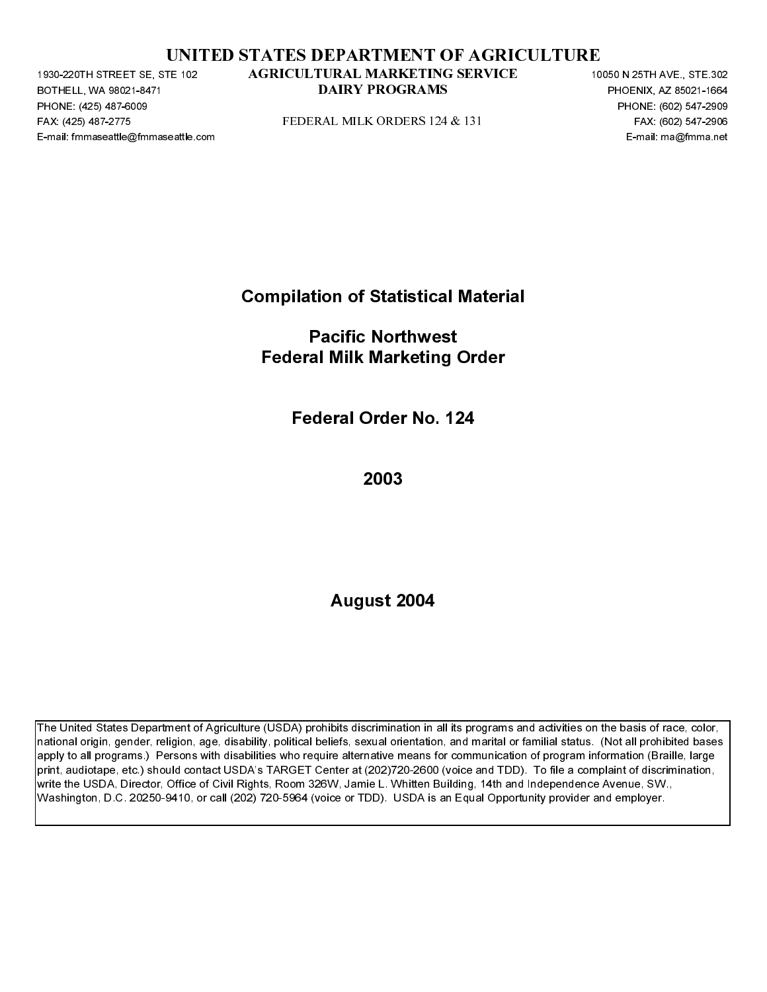|  | UNITED STATES DEPARTMENT OF AGRICULTURE |  |  |
|--|-----------------------------------------|--|--|
|  |                                         |  |  |

BOTHELL, WA 98021-8471<br>BOTHELL, WA 98021-8471<br>PHONE: (425) 487-6009<br>FAX: (425) 487-6009<br>E-mail: fmmaseattle@fmmaseattle.c PHONE: (425) 487-6009<br>FAX: (425) 487-6009<br>FAX: (425) 487-2775<br>E-mail: fmmaseattle@fmma FAX: (425) 487-2271 STATED STATES DEPARTMENT OF AGRICULTURE<br>
FACULTICINAL MARKETING SERVICE<br>
FOR A CONSTANT CONSTANT CONSTANT CONSTANT CONSTANT CONSTANT CONSTANT CONSTANT CONSTANT CONSTANT CONSTANT CONSTANT CONSTANT CONST

Compilation of Statistical Material

PAX: (426) 487-2716<br>
PERIC TRISTERNER (1971-1976-1986)<br>
PERIC TRISTERNER COMPILATION Of Statistical Material<br>
Pacific Northwest<br>
Pederal Milk Marketing Order<br>
Pederal Order No. 124<br>
2003<br>
August 2004 E-mail: Fmacific Northwest<br>Federal Milk Marketing Order<br>Federal Order No. 124<br>2003<br>August 2004 Pacific Northwest Federal Milk Marketing Order

Federal Order No. 124

2003

August 2004

**DAIRY PROGRAMS**<br>
PHONE, 6003 BY: 1997<br>
PEDERAL MILK ORDERS 124-8, 1531<br>
PEDERAL MARKETING DEVICE 10050 N 2505<br>
FAG. 6003 947-2036<br> **Compliation of Statistical Material**<br> **Pederal Order No. 124**<br>
2003<br>
August 2004<br>
August Problem and the programs and activities on the basis of rince 2002-167-7996<br>
DAIRY PROGRAMS PEAK (1992-167-7996)<br>
E-mail: manghtmma set<br>
DAIRY PROGRAMS PHOTOS PROGRAMS<br>
DAIRY PROGRAM CONTINUES<br>
DAIRY A set all Order No. 12 The United States Department of Agriculture (USDA) prohibits discrimination in all its programs and activities on the basis of race, color, national origin, gender, religion, age, disability, political beliefs, sexual orientation, and marital or familial status. (Not all prohibited bases apply to all programs.) Persons with disabilities who require alternative means for communication of program information (Braille, large print, audiotape, etc.) should contact USDA's TARGET Center at (202)720-2600 (voice and TDD). To file a complaint of discrimination, write the USDA, Director, Office of Civil Rights, Room 326W, Jamie L. Whitten Building, 14th and Independence Avenue, SW., Washington, D.C. 20250-9410, or call (202) 720-5964 (voice or TDD). USDA is an Equal Opportunity provider and employer. AGRICULTRAL MARKETTING SERVICE<br>
DAIRY PROGRAMS<br>
FIEDERAL MILK ORDERS 124 & 131<br>
Compilation of Statistical Material<br>
Pacific Northwest<br>
Federal Milk Marketing Order<br>
Federal Order No. 124<br>
2003<br>
August 2004<br>
August 2004<br>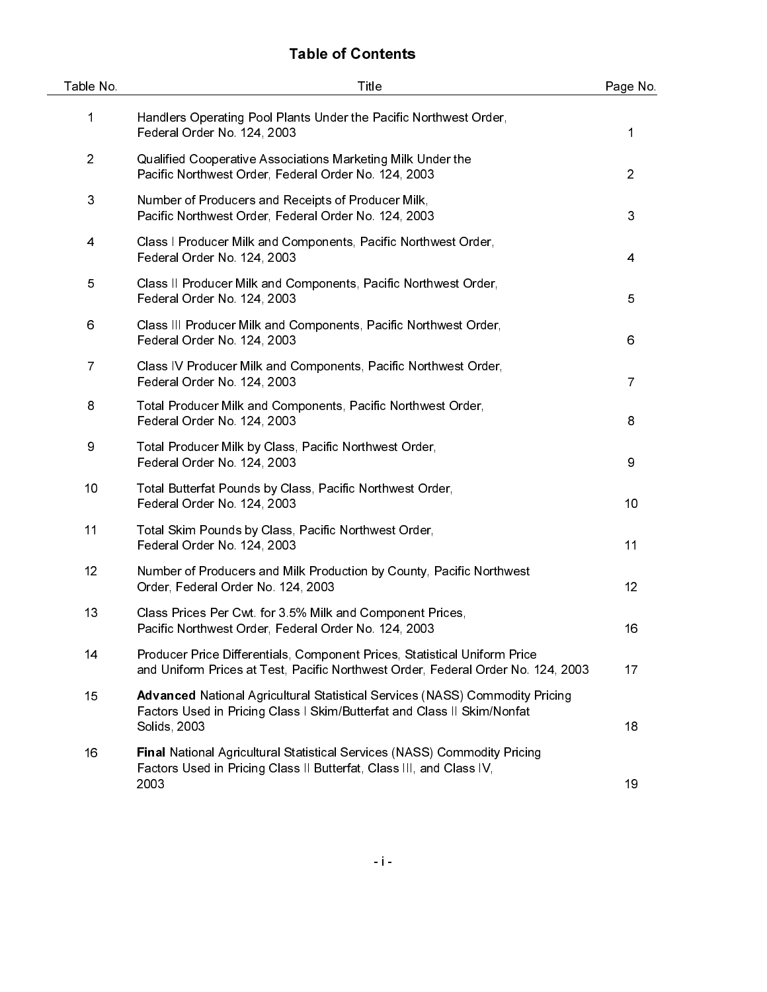# Table of Contents

| Table No.      | Title                                                                                                                                                                          | Page No.       |
|----------------|--------------------------------------------------------------------------------------------------------------------------------------------------------------------------------|----------------|
| 1              | Handlers Operating Pool Plants Under the Pacific Northwest Order,<br>Federal Order No. 124, 2003                                                                               | 1              |
| $\overline{2}$ | Qualified Cooperative Associations Marketing Milk Under the<br>Pacific Northwest Order, Federal Order No. 124, 2003                                                            | $\overline{2}$ |
| 3              | Number of Producers and Receipts of Producer Milk,<br>Pacific Northwest Order, Federal Order No. 124, 2003                                                                     | 3              |
| 4              | Class I Producer Milk and Components, Pacific Northwest Order,<br>Federal Order No. 124, 2003                                                                                  | 4              |
| 5              | Class II Producer Milk and Components, Pacific Northwest Order,<br>Federal Order No. 124, 2003                                                                                 | 5              |
| 6              | Class III Producer Milk and Components, Pacific Northwest Order,<br>Federal Order No. 124, 2003                                                                                | 6              |
| $\overline{7}$ | Class IV Producer Milk and Components, Pacific Northwest Order,<br>Federal Order No. 124, 2003                                                                                 | $\overline{7}$ |
| 8              | Total Producer Milk and Components, Pacific Northwest Order,<br>Federal Order No. 124, 2003                                                                                    | 8              |
| 9              | Total Producer Milk by Class, Pacific Northwest Order,<br>Federal Order No. 124, 2003                                                                                          | 9              |
| 10             | Total Butterfat Pounds by Class, Pacific Northwest Order,<br>Federal Order No. 124, 2003                                                                                       | 10             |
| 11             | Total Skim Pounds by Class, Pacific Northwest Order,<br>Federal Order No. 124, 2003                                                                                            | 11             |
| 12             | Number of Producers and Milk Production by County, Pacific Northwest<br>Order, Federal Order No. 124, 2003                                                                     | 12             |
| 13             | Class Prices Per Cwt for 3.5% Milk and Component Prices,<br>Pacific Northwest Order, Federal Order No. 124, 2003                                                               | 16             |
| 14             | Producer Price Differentials, Component Prices, Statistical Uniform Price<br>and Uniform Prices at Test, Pacific Northwest Order, Federal Order No. 124, 2003                  | 17             |
| 15             | <b>Advanced National Agricultural Statistical Services (NASS) Commodity Pricing</b><br>Factors Used in Pricing Class I Skim/Butterfat and Class II Skim/Nonfat<br>Solids, 2003 | 18             |
| 16             | Final National Agricultural Statistical Services (NASS) Commodity Pricing<br>Factors Used in Pricing Class II Butterfat, Class III, and Class IV,<br>2003                      | 19             |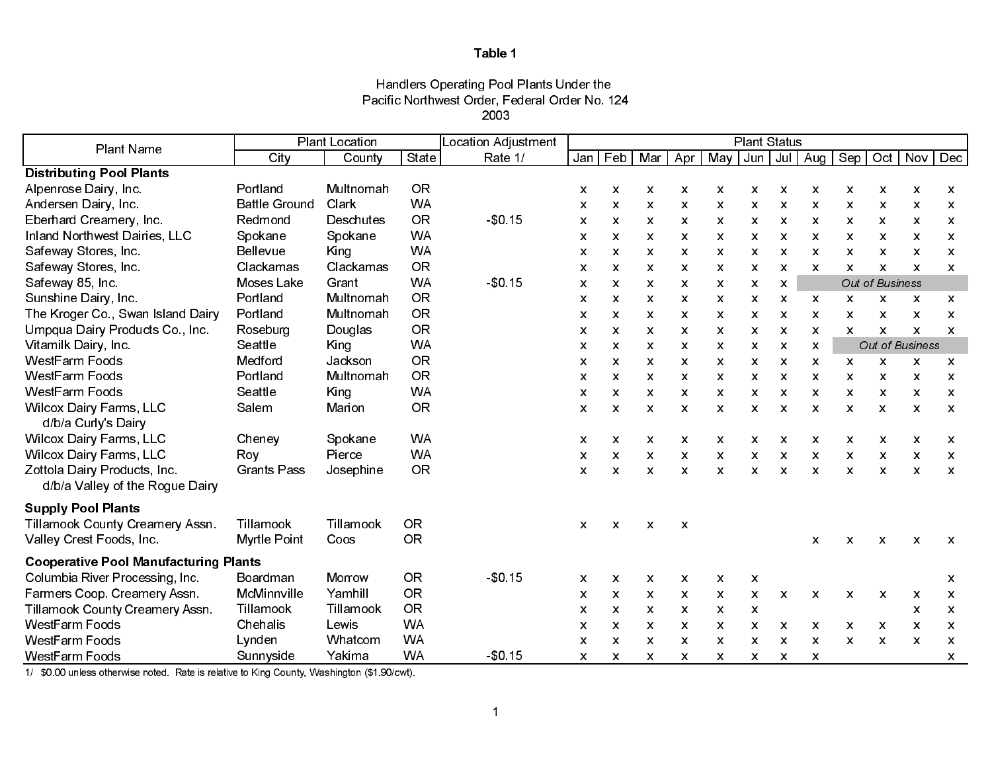### Handlers Operating Pool Plants Under the Pacific Northwest Order, Federal Order No. 124 2003

| Plant Name                                                      |                      | <b>Plant Location</b> |           | Location Adjustment | <b>Plant Status</b> |                |              |                           |                           |              |              |                           |                           |                 |                           |                           |
|-----------------------------------------------------------------|----------------------|-----------------------|-----------|---------------------|---------------------|----------------|--------------|---------------------------|---------------------------|--------------|--------------|---------------------------|---------------------------|-----------------|---------------------------|---------------------------|
|                                                                 | City                 | County                | State     | Rate 1/             | Jan                 | Feb            | Mar          | Apr                       | May                       | Jun   Jul    |              | Aug                       | Sep                       | Oct             | Nov                       | Dec                       |
| <b>Distributing Pool Plants</b>                                 |                      |                       |           |                     |                     |                |              |                           |                           |              |              |                           |                           |                 |                           |                           |
| Alpenrose Dairy, Inc.                                           | Portland             | Multnomah             | <b>OR</b> |                     | X                   | X              | X            | X                         | $\mathsf{x}$              | X.           | X            | $\boldsymbol{\mathsf{x}}$ | $\mathsf{x}$              | X               | X                         | $\boldsymbol{\mathsf{x}}$ |
| Andersen Dairy, Inc.                                            | <b>Battle Ground</b> | Clark                 | <b>WA</b> |                     | X                   | $\mathsf{x}$   | $\mathsf{x}$ | $\mathsf{x}$              | $\mathsf{x}$              | X.           | $\mathsf{x}$ | $\boldsymbol{\mathsf{x}}$ | X                         | X               | $\boldsymbol{\mathsf{x}}$ | X                         |
| Eberhard Creamery, Inc.                                         | Redmond              | Deschutes             | <b>OR</b> | $-$0.15$            | X                   | X              | X            | $\boldsymbol{\mathsf{x}}$ | $\boldsymbol{\mathsf{x}}$ | x            | X            | X                         | X                         | X               | X                         | X                         |
| Inland Northwest Dairies, LLC                                   | Spokane              | Spokane               | <b>WA</b> |                     | X                   | X              | X            | X                         | $\mathsf{x}$              | X            | X            | $\mathsf{x}$              | X                         | X               | X                         | X                         |
| Safeway Stores, Inc.                                            | <b>Bellevue</b>      | King                  | <b>WA</b> |                     | x                   | X              | X            | X                         | $\mathsf{x}$              | X            | X            | $\boldsymbol{\mathsf{x}}$ | X                         | X               | X                         | $\mathsf{x}$              |
| Safeway Stores, Inc.                                            | Clackamas            | Clackamas             | <b>OR</b> |                     | $\mathsf{x}$        | X.             | $\mathsf{x}$ | $\mathsf{x}$              | $\mathsf{x}$              | X.           | X            | $\mathbf{x}$              | $\mathsf{x}$              | $\mathsf{x}$    | $\mathsf{x}$              | $\mathsf{x}$              |
| Safeway 85, Inc.                                                | Moses Lake           | Grant                 | <b>WA</b> | \$0.15              | X                   | X              | X            | X                         | X                         | X            | X            |                           |                           | Out of Business |                           |                           |
| Sunshine Dairy, Inc.                                            | Portland             | Multnomah             | <b>OR</b> |                     | x                   | X              | X            | X                         | X                         | X            | X            | x                         | $\boldsymbol{\mathsf{x}}$ | X               | X                         | $\boldsymbol{\mathsf{x}}$ |
| The Kroger Co., Swan Island Dairy                               | Portland             | Multnomah             | <b>OR</b> |                     | x                   | X              | X            | X                         | $\mathsf{x}$              | X            | X            | $\mathsf{x}$              | X                         | X               | X                         | $\boldsymbol{\mathsf{x}}$ |
| Umpqua Dairy Products Co., Inc.                                 | Roseburg             | Douglas               | <b>OR</b> |                     | X                   | $\mathsf{x}$   | X            | X                         | $\mathsf{x}$              | X            | X            | $\boldsymbol{\mathsf{x}}$ | X                         | X               | $\boldsymbol{\mathsf{x}}$ | $\mathsf{x}$              |
| Vitamilk Dairy, Inc.                                            | Seattle              | King                  | <b>WA</b> |                     | X                   | X              | X            | X                         | X                         | X            | X            | X                         |                           |                 | Out of Business           |                           |
| <b>WestFarm Foods</b>                                           | Medford              | Jackson               | <b>OR</b> |                     | X                   | x              | X            | X                         | x                         | x            | X            | X                         | X                         | X               | X                         | X                         |
| <b>WestFarm Foods</b>                                           | Portland             | Multnomah             | <b>OR</b> |                     | X                   | X.             | X            | X                         | $\mathsf{x}$              | X            | X            | X                         | X                         | X               | X                         | X                         |
| <b>WestFarm Foods</b>                                           | Seattle              | King                  | <b>WA</b> |                     | X                   | $\mathsf{x}$   | X            | $\mathsf{x}$              | $\mathsf{x}$              | X.           | X            | $\mathsf{x}$              | $\boldsymbol{\mathsf{x}}$ | $\mathsf{x}$    | X                         | $\boldsymbol{\mathsf{x}}$ |
| <b>Wilcox Dairy Farms, LLC</b><br>d/b/a Curly's Dairy           | Salem                | Marion                | <b>OR</b> |                     | X                   | $\mathsf{x}$   | X            | $\mathsf{x}$              | $\mathbf{x}$              | X            | X            | $\mathsf{x}$              | $\mathbf{x}$              | $\mathsf{x}$    | $\boldsymbol{\mathsf{x}}$ | $\boldsymbol{\mathsf{x}}$ |
| <b>Wilcox Dairy Farms, LLC</b>                                  | Cheney               | Spokane               | <b>WA</b> |                     | X                   | x              | X            | X                         | X.                        | x            | X            | X                         | X                         | X               | X                         | X.                        |
| <b>Wilcox Dairy Farms, LLC</b>                                  | Roy                  | Pierce                | <b>WA</b> |                     | X                   | x              | X            | X                         | $\mathsf{x}$              | x            | X            | X                         | X                         | X               | X                         | X                         |
| Zottola Dairy Products, Inc.<br>d/b/a Valley of the Rogue Dairy | <b>Grants Pass</b>   | Josephine             | <b>OR</b> |                     | X                   | $\pmb{\times}$ | X            | $\mathsf{x}$              | $\boldsymbol{\mathsf{x}}$ | X.           | $\mathsf{x}$ | $\boldsymbol{\mathsf{x}}$ | $\boldsymbol{\mathsf{x}}$ | $\mathsf{x}$    | $\boldsymbol{\mathsf{x}}$ | $\mathsf{x}$              |
| <b>Supply Pool Plants</b>                                       |                      |                       |           |                     |                     |                |              |                           |                           |              |              |                           |                           |                 |                           |                           |
| Tillamook County Creamery Assn.                                 | Tillamook            | Tillamook             | <b>OR</b> |                     | $\mathsf{x}$        | $\mathsf{x}$   | X            | $\boldsymbol{\mathsf{x}}$ |                           |              |              |                           |                           |                 |                           |                           |
| Valley Crest Foods, Inc.                                        | Myrtle Point         | Coos                  | <b>OR</b> |                     |                     |                |              |                           |                           |              |              | X                         | $\boldsymbol{\mathsf{x}}$ | X               | $\boldsymbol{\mathsf{x}}$ | $\boldsymbol{\mathsf{x}}$ |
| <b>Cooperative Pool Manufacturing Plants</b>                    |                      |                       |           |                     |                     |                |              |                           |                           |              |              |                           |                           |                 |                           |                           |
| Columbia River Processing, Inc.                                 | Boardman             | Morrow                | <b>OR</b> | $-$0.15$            | X                   | $\mathsf{x}$   | X            | $\mathsf{x}$              | $\mathsf{x}$              | X            |              |                           |                           |                 |                           | X                         |
| Farmers Coop. Creamery Assn.                                    | McMinnville          | Yamhill               | <b>OR</b> |                     | x                   | X              | X            | X                         | $\mathsf{x}$              | x            | X            | X                         | X                         | X               | $\boldsymbol{\mathsf{x}}$ | $\boldsymbol{\mathsf{x}}$ |
| Tillamook County Creamery Assn.                                 | Tillamook            | Tillamook             | <b>OR</b> |                     | X                   | X              | X            | $\boldsymbol{\mathsf{x}}$ | $\mathsf{x}$              | $\mathsf{x}$ |              |                           |                           |                 | $\boldsymbol{\mathsf{x}}$ | $\boldsymbol{\mathsf{x}}$ |
| <b>WestFarm Foods</b>                                           | Chehalis             | Lewis                 | <b>WA</b> |                     | X                   | X              | X            | X                         | $\mathsf{x}$              | X            | X            | X                         | $\boldsymbol{\mathsf{x}}$ | X               | X                         | $\boldsymbol{\mathsf{x}}$ |
| <b>WestFarm Foods</b>                                           | Lynden               | Whatcom               | <b>WA</b> |                     | X                   | x              | X            | X                         | X.                        | x            | X            | X                         | x                         | X               | X                         | X                         |
| <b>WestFarm Foods</b>                                           | Sunnyside            | Yakima                | <b>WA</b> | $-$0.15$            | X                   | $\mathsf{x}$   | X            | X                         | X                         | X            | X            | $\boldsymbol{\mathsf{x}}$ |                           |                 |                           | X                         |

1/ \$0.00 unless otherwise noted. Rate is relative to King County, Washington (\$1.90/cwt).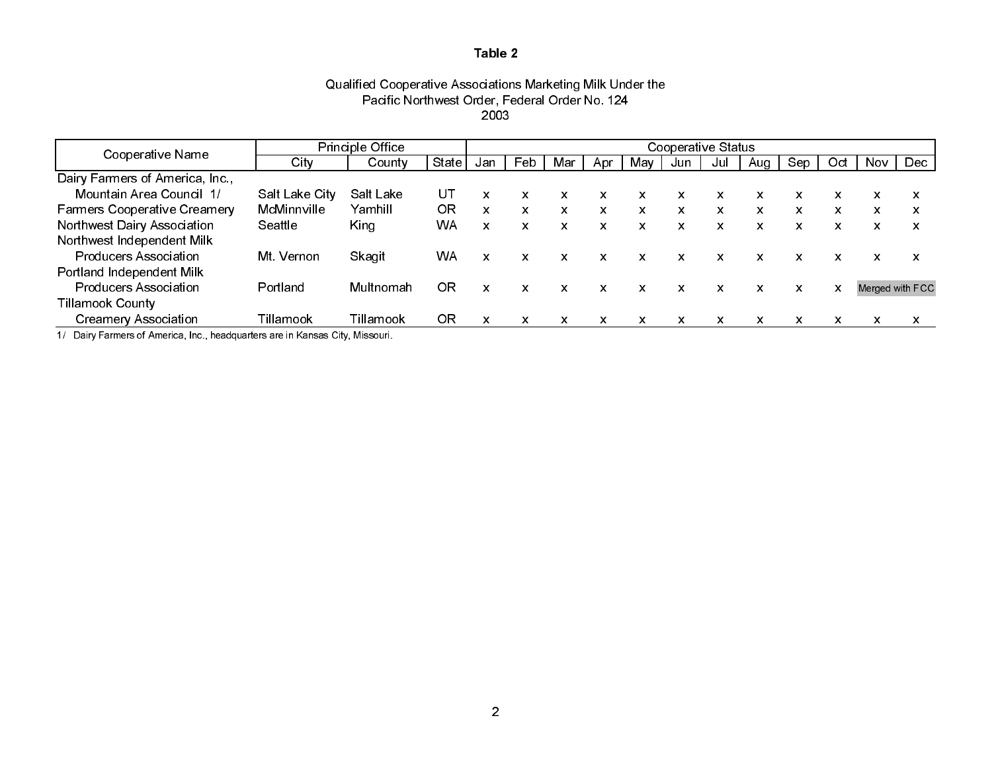### Qualified Cooperative Associations Marketing Milk Under the Pacific Northwest Order, Federal Order No. 124 2003

|                                     |                | <b>Principle Office</b> |           | Cooperative Status |     |     |                           |              |     |                           |     |     |                           |      |                 |
|-------------------------------------|----------------|-------------------------|-----------|--------------------|-----|-----|---------------------------|--------------|-----|---------------------------|-----|-----|---------------------------|------|-----------------|
| Cooperative Name                    | City           | County                  | State     | Jan                | Feb | Mar | Apr                       | May          | Jun | Jul                       | Aug | Sep | Oct                       | Nov. | Dec             |
| Dairy Farmers of America, Inc.,     |                |                         |           |                    |     |     |                           |              |     |                           |     |     |                           |      |                 |
| Mountain Area Council 1/            | Salt Lake City | Salt Lake               | UT        | x                  | X.  | x   | $\boldsymbol{\mathsf{x}}$ | X.           | x   | $\boldsymbol{\mathsf{x}}$ | x   | x   | X                         | X    | x               |
| <b>Farmers Cooperative Creamery</b> | McMinnville    | Yamhill                 | ΟR        | $\mathbf{x}$       | X.  | x.  | $\boldsymbol{\mathsf{x}}$ | X.           | X.  | $\mathsf{x}$              | X   | x   | $\boldsymbol{\mathsf{x}}$ | X    | x               |
| Northwest Dairy Association         | Seattle        | King                    | WA        | X                  | X.  | X   | $\mathbf{x}$              | X.           | X.  | $\mathsf{x}$              | x   | x   | $\boldsymbol{\mathsf{x}}$ | x    | x               |
| Northwest Independent Milk          |                |                         |           |                    |     |     |                           |              |     |                           |     |     |                           |      |                 |
| <b>Producers Association</b>        | Mt Vernon      | Skagit                  | <b>WA</b> | X                  | X.  | x   | $\mathbf{x}$              | $\mathbf{x}$ | X   | X                         | X   | x   | $\boldsymbol{\mathsf{x}}$ | X.   | x               |
| Portland Independent Milk           |                |                         |           |                    |     |     |                           |              |     |                           |     |     |                           |      |                 |
| <b>Producers Association</b>        | Portland       | Multnomah               | OR        | X                  | x   | x   | $\boldsymbol{\mathsf{x}}$ | X.           | x   | $\boldsymbol{\mathsf{x}}$ | X   | x   | X                         |      | Merged with FCC |
| <b>Tillamook County</b>             |                |                         |           |                    |     |     |                           |              |     |                           |     |     |                           |      |                 |
| <b>Creamery Association</b>         | Tillamook      | Tillamook               | ΟR        | x                  | x   | x   | x                         | x            | x   | х                         | x   | x   | x                         | x    | x               |

1/ Dairy Farmers of America, Inc., headquarters are in Kansas City, Missouri.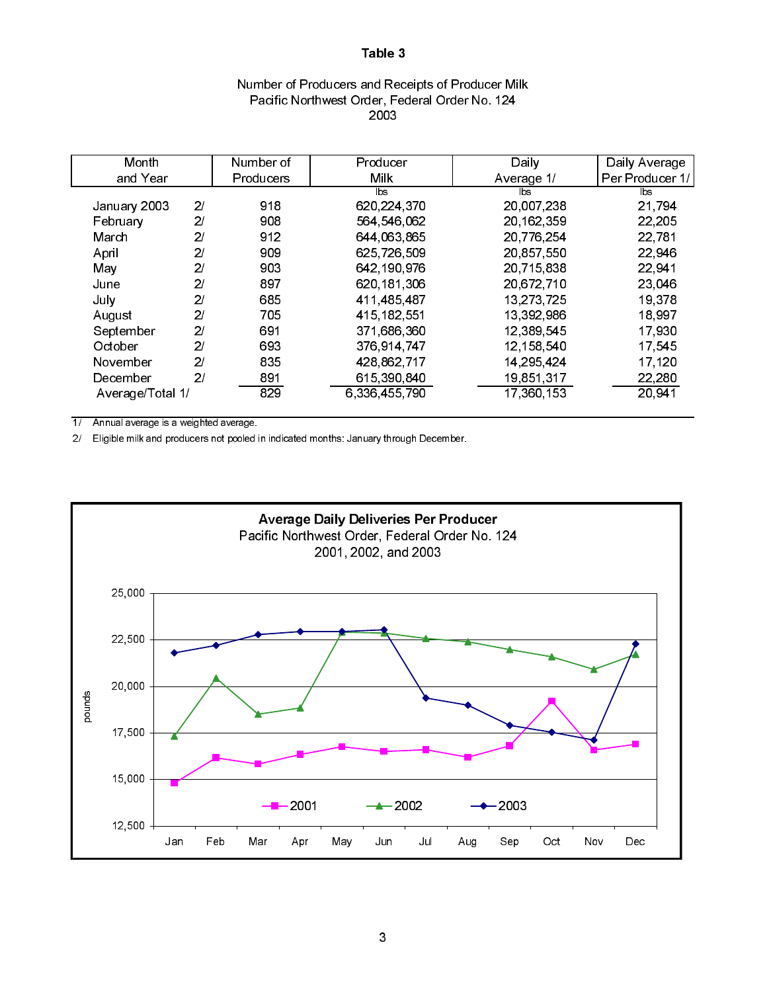# Number of Producers and Receipts of Producer Milk Pacific Northwest Order, Federal Order No. 124 2003

|                  | Number of | Producer      |            | Daily Average          |
|------------------|-----------|---------------|------------|------------------------|
|                  | Producers | <b>Milk</b>   | Average 1/ | Per Producer 1/        |
|                  |           | lbs.          | lbs        | $\mathsf{b}\mathsf{s}$ |
| 2 <sub>l</sub>   | 918       | 620,224,370   | 20,007,238 | 21,794                 |
| 2 <sup>1</sup>   | 908       | 564 546 062   | 20,162,359 | 22,205                 |
| 2 <sub>l</sub>   | 912       | 644,063,865   | 20,776,254 | 22 781                 |
| 21               | 909       | 625,726,509   | 20,857,550 | 22,946                 |
| 2 <sub>l</sub>   | 903       | 642,190,976   | 20,715,838 | 22 941                 |
| 2 <sub>l</sub>   | 897       | 620,181,306   | 20,672,710 | 23,046                 |
| 2 <sup>1</sup>   | 685       | 411 485 487   | 13,273,725 | 19 3 78                |
| 21               | 705       | 415 182 551   | 13,392,986 | 18 997                 |
| 2 <sup>1</sup>   | 691       | 371,686,360   | 12,389,545 | 17.930                 |
| 21               | 693       | 376 914 747   | 12.158.540 | 17.545                 |
| 21               | 835       | 428,862,717   | 14,295,424 | 17,120                 |
| 2 <sup>1</sup>   | 891       | 615,390,840   | 19,851,317 | 22,280                 |
| Average/Total 1/ | 829       | 6,336,455,790 | 17,360,153 | 20 941                 |
|                  |           |               |            | Daily                  |

1/ Annual average is a weighted average.

2/ Eligible milk and producers not pooled in indicated months: January through December.

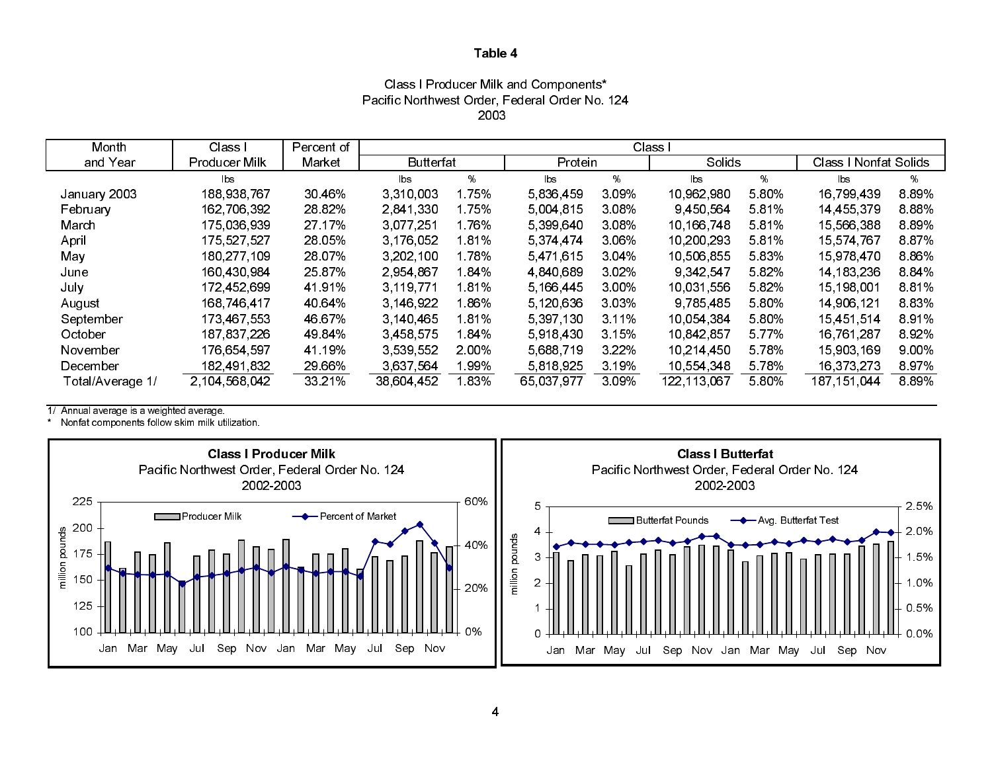### 2003Class I Producer Milk and Components\* Pacific Northwest Order, Federal Order No. 124

| Month            | Class I       | Percent of | Class I                |       |            |         |             |         |                        |          |
|------------------|---------------|------------|------------------------|-------|------------|---------|-------------|---------|------------------------|----------|
| and Year         | Producer Milk | Market     | <b>Butterfat</b>       |       | Protein    |         | Solids      |         | Class   Nonfat Solids  |          |
|                  | <b>bs</b>     |            | $\mathsf{b}\mathsf{s}$ | %     | lbs        | %       | lbs         | %       | $\mathsf{b}\mathsf{s}$ | %        |
| January 2003     | 188,938,767   | 30 46%     | 3 3 10 0 0 3           | ∣75%  | 5,836,459  | 309%    | 10.962.980  | 5.80%   | 16,799,439             | 889%     |
| February         | 162 706 392   | 28 82%     | 2.841.330              | l 75% | 5 004 815  | 3.08%   | 9 450 564   | 5.81%   | 14 455 379             | 888%     |
| March            | 175,036,939   | 27.17%     | 3,077,251              | 76%   | 5,399,640  | 3.08%   | 10,166,748  | 581%    | 15,566,388             | 889%     |
| April            | 175,527,527   | 28 05%     | 3,176,052              | 81%   | 5,374,474  | 3.06%   | 10,200,293  | 5.81%   | 15,574,767             | 887%     |
| May              | 180 277 109   | 28 07%     | 3.202.100              | 1.78% | 5471615    | 3 0 4 % | 10,506,855  | 5.83%   | 15,978,470             | 886%     |
| June             | 160,430,984   | 25 87%     | 2 954 867              | 84%   | 4,840,689  | 3.02%   | 9 342 547   | 5 8 2%  | 14, 183, 236           | 884%     |
| July             | 172,452,699   | 41 91%     | 3,119,771              | 81%   | 5.166.445  | 3.00%   | 10,031,556  | 582%    | 15, 198, 001           | 881%     |
| August           | 168,746,417   | 40 64%     | 3,146,922              | .86%  | 5,120,636  | 3.03%   | 9,785,485   | 5.80%   | 14,906,121             | 883%     |
| September        | 173,467,553   | 46 67%     | 3,140,465              | 81%   | 5,397,130  | 3 1 1 % | 10 054 384  | 5.80%   | 15,451,514             | 891%     |
| October          | 187 837 226   | 49 84%     | 3 4 5 8 5 7 5          | 84%   | 5.918.430  | 3.15%   | 10 842 857  | 5 7 7 % | 16,761,287             | 892%     |
| November         | 176,654,597   | 41.19%     | 3 539 552              | 2.00% | 5 688 719  | 3 2 2 % | 10 214 450  | 5 78%   | 15,903,169             | $9.00\%$ |
| December         | 182,491,832   | 29 66%     | 3,637,564              | .99%  | 5,818,925  | 3 19%   | 10,554,348  | 5 78%   | 16,373,273             | 897%     |
| Total/Average 1/ | 2.104.568.042 | 33 21%     | 38,604,452             | l 83% | 65 037 977 | 3.09%   | 122,113,067 | 580%    | 187 151 044            | 889%     |

1/ Annual average is a weighted average.

\*Nonfat components follow skim milk utilization.

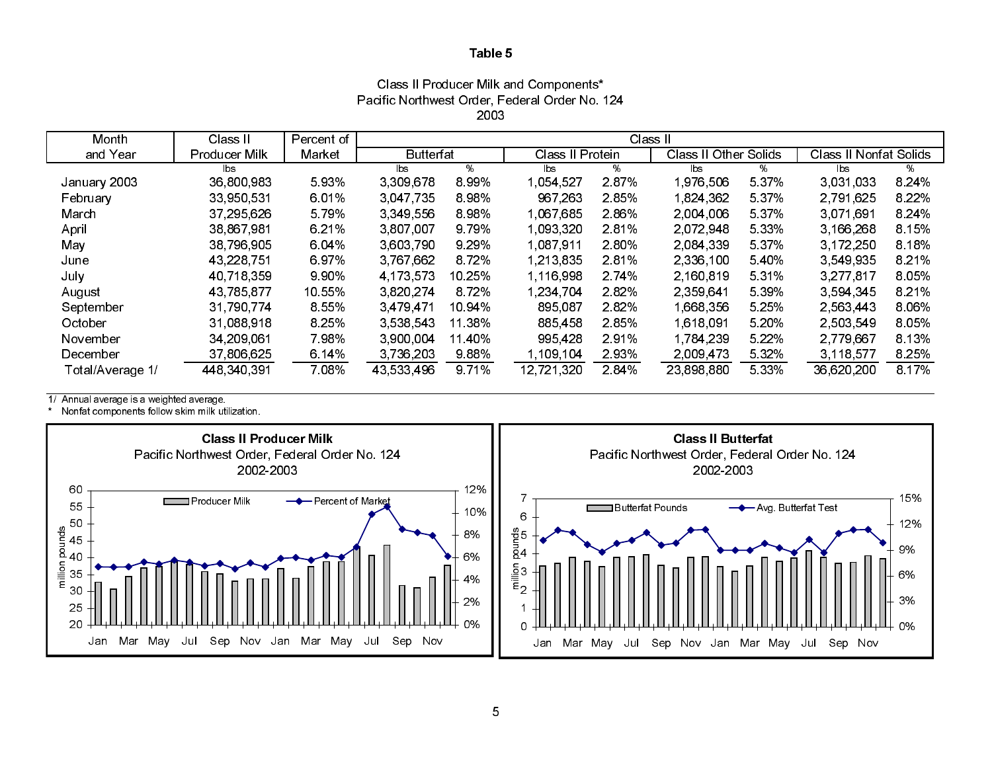Class II Producer Milk and Components\* Pacific Northwest Order, Federal Order No. 124 2003

| Month            | Class II      | Percent of | Class II         |         |                  |       |                |          |                        |         |
|------------------|---------------|------------|------------------|---------|------------------|-------|----------------|----------|------------------------|---------|
| and Year         | Producer Milk | Market     | <b>Butterfat</b> |         | Class II Protein |       | Class II Other | : Solids | Class II Nonfat Solids |         |
|                  | lbs.          |            | lbs              | %       | lbs.             | %     | lbs.           | ℅        | lbs                    | %       |
| January 2003     | 36,800,983    | 5 9 3%     | 3 309 678        | 8 9 9%  | 1,054,527        | 2.87% | 1,976,506      | 5 3 7 %  | 3.031.033              | 8 2 4 % |
| February         | 33 950 531    | 6.01%      | 3 047 735        | 898%    | 967,263          | 285%  | 1,824,362      | 5 3 7 %  | 2 791 625              | 8.22%   |
| March            | 37 295 626    | 5 79%      | 3 3 4 9 5 5 6    | 898%    | 1.067.685        | 2.86% | 2,004,006      | 5 3 7 %  | 3.071.691              | 8 24%   |
| April            | 38 867 981    | 6 21%      | 3,807,007        | 9 7 9 % | 1,093,320        | 281%  | 2.072.948      | 5 3 3 %  | 3,166,268              | 8.15%   |
| May              | 38 796 905    | 6.04%      | 3 603 790        | 9 2 9 % | 1,087,911        | 2.80% | 2,084,339      | 5 3 7 %  | 3 172 250              | 8.18%   |
| June             | 43 228 751    | 6.97%      | 3 767 662        | 872%    | 1,213,835        | 281%  | 2 336 100      | 540%     | 3.549.935              | 8 2 1%  |
| July             | 40,718,359    | 9 90%      | 4.173.573        | 10.25%  | 1,116,998        | 2 74% | 2,160,819      | 531%     | 3,277,817              | 8.05%   |
| August           | 43 785 877    | 10.55%     | 3.820.274        | 8.72%   | 1.234.704        | 282%  | 2,359,641      | 5 3 9 %  | 3.594.345              | 8 2 1%  |
| September        | 31 790 774    | 8 5 5 %    | 3 4 7 9 4 7 1    | 10.94%  | 895,087          | 282%  | 1,668,356      | 5 25%    | 2 5 6 3 4 4 3          | 8.06%   |
| October          | 31 088 918    | 8 25%      | 3 538 543        | 11 38%  | 885,458          | 285%  | 1 618 091      | 5 20%    | 2.503.549              | 8.05%   |
| November         | 34 209 061    | 7.98%      | 3,900,004        | 11 40%  | 995 428          | 2.91% | 1 784 239      | 5 2 2 %  | 2,779,667              | 8.13%   |
| December         | 37 806 625    | 6.14%      | 3,736,203        | 988%    | 1.109.104        | 2.93% | 2,009,473      | 5 3 2 %  | 3 1 18 5 77            | 8.25%   |
| Total/Average 1/ | 448 340 391   | 7.08%      | 43,533,496       | 9 7 1%  | 12,721,320       | 2.84% | 23,898,880     | 5 3 3 %  | 36,620,200             | 8 17%   |

1/ Annual average is a weighted average.

\* Nonfat components follow skim milk utilization.

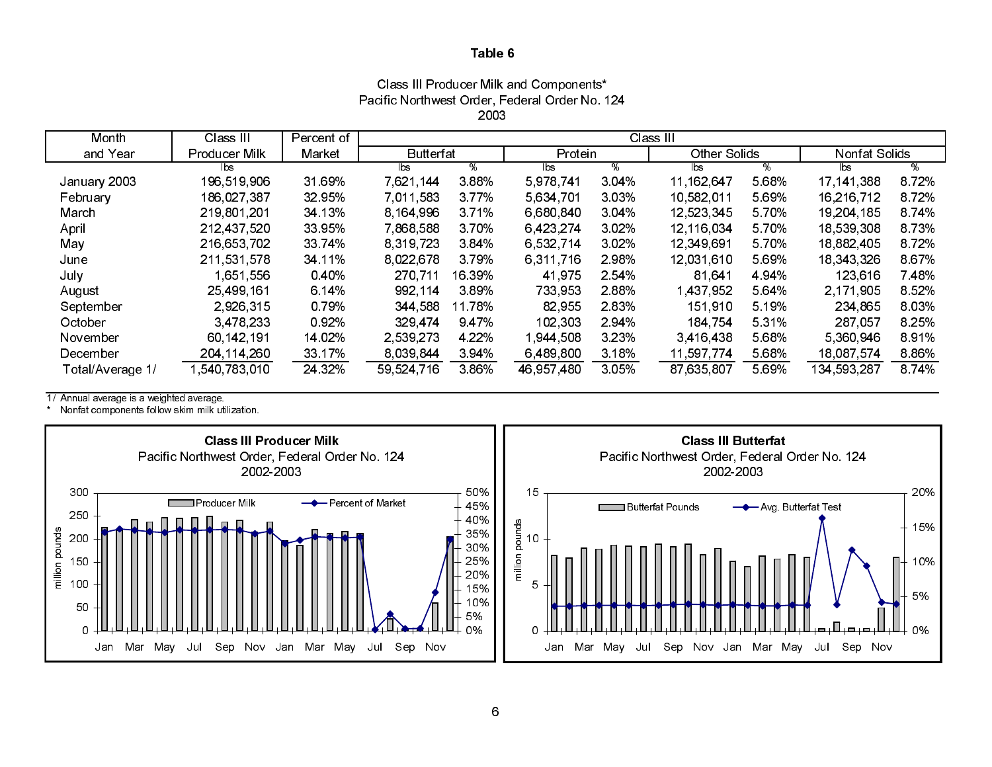### Class III Producer Milk and Components\* Pacific Northwest Order, Federal Order No. 124 2003

| Month            | Class III     | Percent of | Class III        |         |            |         |                     |         |              |               |  |  |
|------------------|---------------|------------|------------------|---------|------------|---------|---------------------|---------|--------------|---------------|--|--|
| and Year         | Producer Milk | Market     | <b>Butterfat</b> |         | Protein    |         | <b>Other Solids</b> |         |              | Nonfat Solids |  |  |
|                  | lbs           |            | lbs              | %       | lbs        | %       | lbs                 | %       | lbs          | %             |  |  |
| January 2003     | 196 519 906   | 31 69%     | 7 621 144        | 388%    | 5,978,741  | 3 04%   | 11, 162, 647        | 5.68%   | 17, 141, 388 | 8.72%         |  |  |
| February         | 186,027,387   | 32 95%     | 7.011.583        | 3.77%   | 5,634,701  | 3 0 3 % | 10.582.011          | 5.69%   | 16,216,712   | 872%          |  |  |
| March            | 219 801 201   | 34 13%     | 8 164 996        | 3.71%   | 6,680,840  | 3 04%   | 12 523 345          | 5 70%   | 19,204,185   | 874%          |  |  |
| April            | 212,437,520   | 33 95%     | 7.868.588        | 370%    | 6,423,274  | 3 0 2 % | 12.116.034          | 5 70%   | 18,539,308   | 873%          |  |  |
| May              | 216 653 702   | 33 74%     | 8.319.723        | 384%    | 6,532,714  | 3 0 2 % | 12 349 691          | 5 70%   | 18,882,405   | 872%          |  |  |
| June             | 211 531 578   | 34 11%     | 8 0 2 2 6 7 8    | 3.79%   | 6,311,716  | 2 98%   | 12.031.610          | 5.69%   | 18 343 326   | 867%          |  |  |
| July             | 1,651,556     | 0.40%      | 270,711          | 16 39%  | 41 975     | 2 54%   | 81 641              | 4 94%   | 123 616      | 7 48%         |  |  |
| August           | 25 499 161    | 6.14%      | 992 114          | 389%    | 733 953    | 288%    | 1,437,952           | 5 64%   | 2.171.905    | 8.52%         |  |  |
| September        | 2,926,315     | 0.79%      | 344 588          | 11.78%  | 82 955     | 283%    | 151,910             | 5.19%   | 234,865      | 8.03%         |  |  |
| October          | 3 478 233     | 0.92%      | 329 474          | 947%    | 102,303    | 294%    | 184 754             | 5 3 1 % | 287 057      | 8.25%         |  |  |
| November         | 60 142 191    | 14.02%     | 2 539 273        | 4 2 2 % | 1,944,508  | 3 2 3 % | 3,416,438           | 5.68%   | 5 360 946    | 8.91%         |  |  |
| December         | 204 114 260   | 33.17%     | 8.039.844        | 394%    | 6 489 800  | 3 18%   | 11 597 774          | 5.68%   | 18,087,574   | 886%          |  |  |
| Total/Average 1/ | 1,540 783 010 | 24 3 2 %   | 59 524 716       | 386%    | 46,957,480 | 3 0 5 % | 87,635,807          | 5.69%   | 134 593 287  | 8 7 4 %       |  |  |

1/ Annual average is a weighted average.

\* Nonfat components follow skim milk utilization.

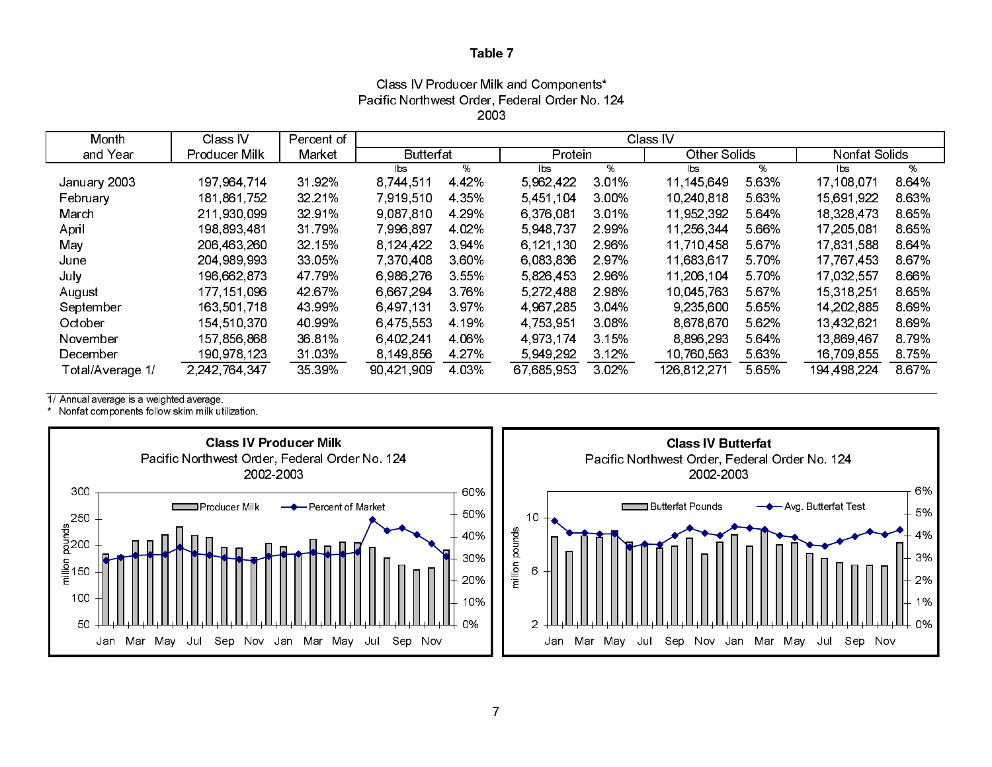Class IV Producer Milk and Components\* Pacific Northwest Order, Federal Order No. 124 2003

| Month            | Class IV      | Percent of | Class IV         |         |            |          |               |       |               |       |  |
|------------------|---------------|------------|------------------|---------|------------|----------|---------------|-------|---------------|-------|--|
| and Year         | Producer Milk | Market     | <b>Butterfat</b> |         | Protein    |          | Other Solids  |       | Nonfat Solids |       |  |
|                  |               |            | lbs              | %       | lbs        | %        | lbs           | %     | lbs           | %     |  |
| January 2003     | 197 964 714   | 3192%      | 8,744,511        | 4 4 2%  | 5 962 422  | 3 0 1 %  | 11,145,649    | 5 63% | 17,108,071    | 864%  |  |
| February         | 181 861 752   | 32 21%     | 7,919,510        | 4 3 5 % | 5451104    | $3.00\%$ | 10 240 818    | 5 63% | 15,691,922    | 8.63% |  |
| March            | 211 930 099   | 3291%      | 9,087,810        | 4 29%   | 6,376,081  | 3.01%    | 11.952.392    | 5 64% | 18,328,473    | 8.65% |  |
| April            | 198,893,481   | 31 79%     | 7,996,897        | 4 0 2%  | 5,948,737  | 2.99%    | 11,256,344    | 5.66% | 17,205,081    | 8.65% |  |
| May              | 206,463,260   | 32.15%     | 8.124.422        | 394%    | 6 121 130  | 2 96%    | 11,710,458    | 5 67% | 17,831,588    | 8.64% |  |
| June             | 204 989 993   | 33.05%     | 7,370,408        | 360%    | 6,083,836  | 297%     | 11,683,617    | 5 70% | 17,767,453    | 867%  |  |
| July             | 196,662,873   | 47 79%     | 6 986 276        | 3 5 5 % | 5,826,453  | 2 96%    | 11,206,104    | 5 70% | 17.032.557    | 8.66% |  |
| August           | 177 151 096   | 42 67%     | 6,667,294        | 3.76%   | 5 272 488  | 2.98%    | 10.045.763    | 5 67% | 15, 318, 251  | 8.65% |  |
| September        | 163 501 718   | 43 99%     | 6 497 131        | 397%    | 4 967 285  | 3.04%    | 9 235 600     | 5.65% | 14, 202, 885  | 869%  |  |
| October          | 154,510,370   | 40.99%     | 6 475 553        | 4 19%   | 4 753 951  | 3.08%    | 8 678 670     | 5 62% | 13,432,621    | 869%  |  |
| November         | 157 856 868   | 3681%      | 6 402 241        | 4.06%   | 4 973 174  | 3.15%    | 8 8 9 6 2 9 3 | 5 64% | 13 869 467    | 8.79% |  |
| December         | 190 978 123   | 31 03%     | 8,149,856        | 4 27%   | 5949292    | 3 12%    | 10,760,563    | 5.63% | 16,709,855    | 8.75% |  |
| Total/Average 1/ | 2,242,764,347 | 35 39%     | 90.421.909       | 4 0 3%  | 67,685,953 | 3 0 2%   | 126,812,271   | 5.65% | 194 498 224   | 867%  |  |

1/ Annual average is a weighted average.

\* Nonfat components follow skim milk utilization.



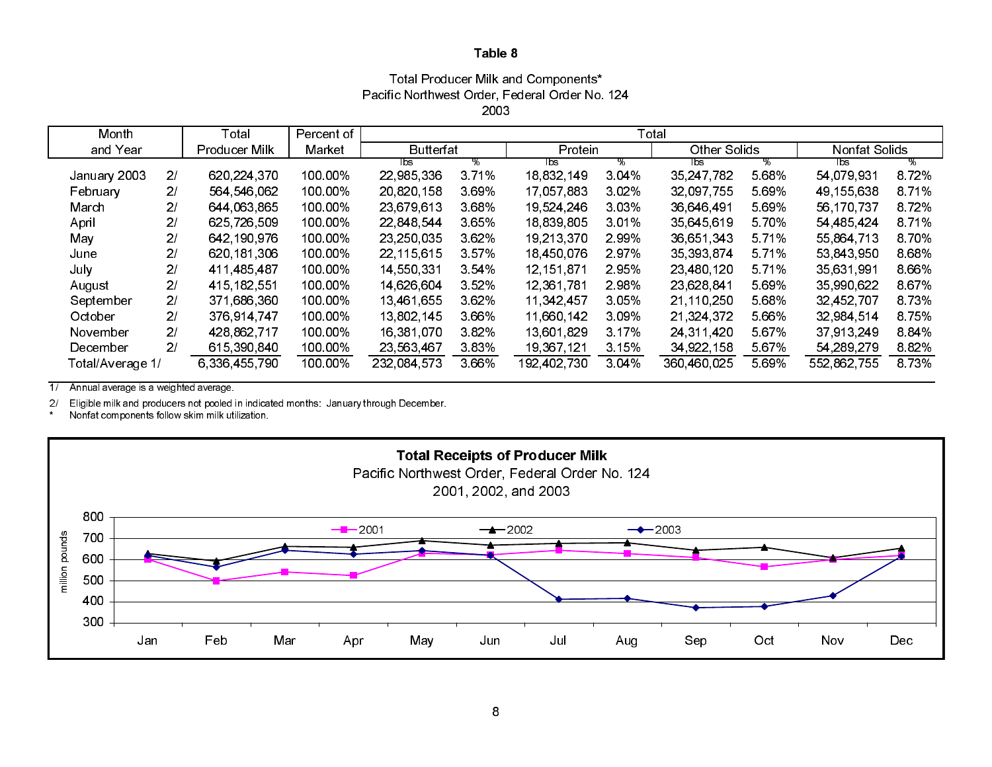### Total Producer Milk and Components\* Pacific Northwest Order, Federal Order No. 124 2003

| Month            |                | Total                | Percent of | Total            |         |             |         |              |        |               |        |
|------------------|----------------|----------------------|------------|------------------|---------|-------------|---------|--------------|--------|---------------|--------|
| and Year         |                | <b>Producer Milk</b> | Market     | <b>Butterfat</b> |         | Protein     |         | Other Solids |        | Nonfat Solids |        |
|                  |                |                      |            | lbs.             | ℅       | Tbs         | ℅       | bs           | ℅      | lbs           | %      |
| January 2003     | 2 <sub>l</sub> | 620,224,370          | 100 00%    | 22,985,336       | 371%    | 18.832.149  | 3.04%   | 35 247 782   | 5.68%  | 54 079 931    | 872%   |
| February         | 21             | 564 546 062          | 100 00%    | 20,820,158       | 3.69%   | 17.057.883  | 3.02%   | 32.097.755   | 5.69%  | 49 155 638    | 8.71%  |
| March            | 2 <sub>l</sub> | 644 063 865          | 100 00%    | 23,679,613       | 3.68%   | 19,524,246  | 3.03%   | 36,646,491   | 5.69%  | 56 170 737    | 8.72%  |
| April            | 2 <sub>l</sub> | 625 726 509          | 100 00%    | 22 848 544       | 3.65%   | 18.839.805  | 3.01%   | 35 645 619   | 5.70%  | 54 485 424    | 8 7 1% |
| May              | 21             | 642 190 976          | 100 00%    | 23, 250, 035     | 3.62%   | 19.213.370  | 2.99%   | 36.651.343   | 5.71%  | 55,864,713    | 8.70%  |
| June             | 21             | 620 181 306          | 100 00%    | 22, 115, 615     | 357%    | 18,450,076  | 2.97%   | 35,393,874   | 5.71%  | 53,843,950    | 8.68%  |
| July             | 2/             | 411 485 487          | 100 00%    | 14,550,331       | 354%    | 12.151.871  | 2.95%   | 23 480 120   | 5 7 1% | 35,631,991    | 8.66%  |
| August           | 2/             | 415 182 551          | 100 00%    | 14 626 604       | 352%    | 12,361,781  | 2.98%   | 23,628,841   | 5.69%  | 35,990,622    | 8 6 7% |
| September        | 2 <sub>l</sub> | 371 686 360          | 100 00%    | 13,461,655       | 3 6 2 % | 11 342 457  | 3.05%   | 21,110,250   | 5.68%  | 32 452 707    | 8.73%  |
| October          | 2 <sub>l</sub> | 376 914 747          | 100 00%    | 13,802,145       | 3 66%   | 11,660,142  | 3.09%   | 21,324,372   | 5.66%  | 32 984 514    | 8 7 5% |
| November         | 2/             | 428 862 717          | 100 00%    | 16.381.070       | 382%    | 13,601,829  | 3.17%   | 24,311,420   | 5.67%  | 37 913 249    | 884%   |
| December         | 2 <sub>l</sub> | 615 390 840          | 100 00%    | 23,563,467       | 383%    | 19,367,121  | 3.15%   | 34,922,158   | 5.67%  | 54,289,279    | 882%   |
| Total/Average 1/ |                | 6 336 455 790        | 100 00%    | 232,084.573      | 3 6 6 % | 192 402 730 | 3 0 4 % | 360 460 025  | 5.69%  | 552,862,755   | 8 7 3% |

 $\overline{1/2}$ Annual average is a weighted average.

2/ Eligible milk and producers not pooled in indicated months: January through December.

 $^\star$ Nonfat components follow skim milk utilization.

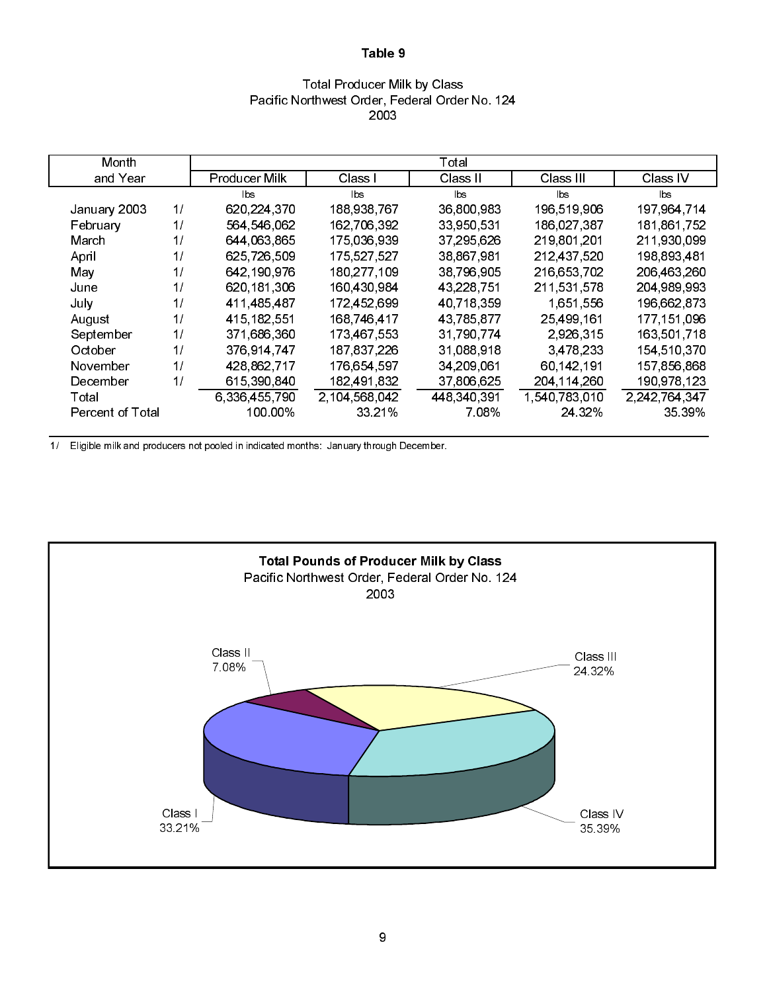### Total Producer Milk by Class Pacific Northwest Order, Federal Order No. 124 2003

| Month            |    |               |               | Total       |               |               |
|------------------|----|---------------|---------------|-------------|---------------|---------------|
| and Year         |    | Producer Milk | Class I       | Class II    | Class III     | Class IV      |
|                  |    | lbs           | lbs.          | lbs.        | lbs.          | lbs           |
| January 2003     | 1/ | 620, 224, 370 | 188 938 767   | 36,800,983  | 196 519 906   | 197,964,714   |
| February         | 1/ | 564 546 062   | 162,706,392   | 33,950,531  | 186,027,387   | 181,861,752   |
| March            | 1/ | 644 063 865   | 175 036 939   | 37,295,626  | 219,801,201   | 211,930,099   |
| April            | 1/ | 625,726,509   | 175,527,527   | 38,867,981  | 212,437,520   | 198,893,481   |
| May              | 1/ | 642,190,976   | 180,277,109   | 38,796,905  | 216,653,702   | 206 463 260   |
| June             | 1/ | 620, 181, 306 | 160 430 984   | 43,228,751  | 211,531,578   | 204 989 993   |
| July             | 1/ | 411,485,487   | 172,452,699   | 40,718,359  | 1,651,556     | 196,662,873   |
| August           | 1/ | 415 182 551   | 168 746 417   | 43,785,877  | 25.499.161    | 177 151 096   |
| September        | 1/ | 371,686,360   | 173,467,553   | 31,790,774  | 2,926,315     | 163,501,718   |
| October          | 11 | 376,914,747   | 187 837 226   | 31,088,918  | 3,478,233     | 154 510 370   |
| November         | 1/ | 428,862,717   | 176,654,597   | 34,209,061  | 60,142,191    | 157,856,868   |
| December         | 1/ | 615 390 840   | 182,491,832   | 37,806,625  | 204 114 260   | 190 978 123   |
| Total            |    | 6 336 455 790 | 2,104,568,042 | 448,340,391 | 1,540,783,010 | 2,242,764,347 |
| Percent of Total |    | 100.00%       | 33.21%        | 7.08%       | 24 3 2 %      | 35 39%        |

1/ Eligible milk and producers not pooled in indicated months: January through December.

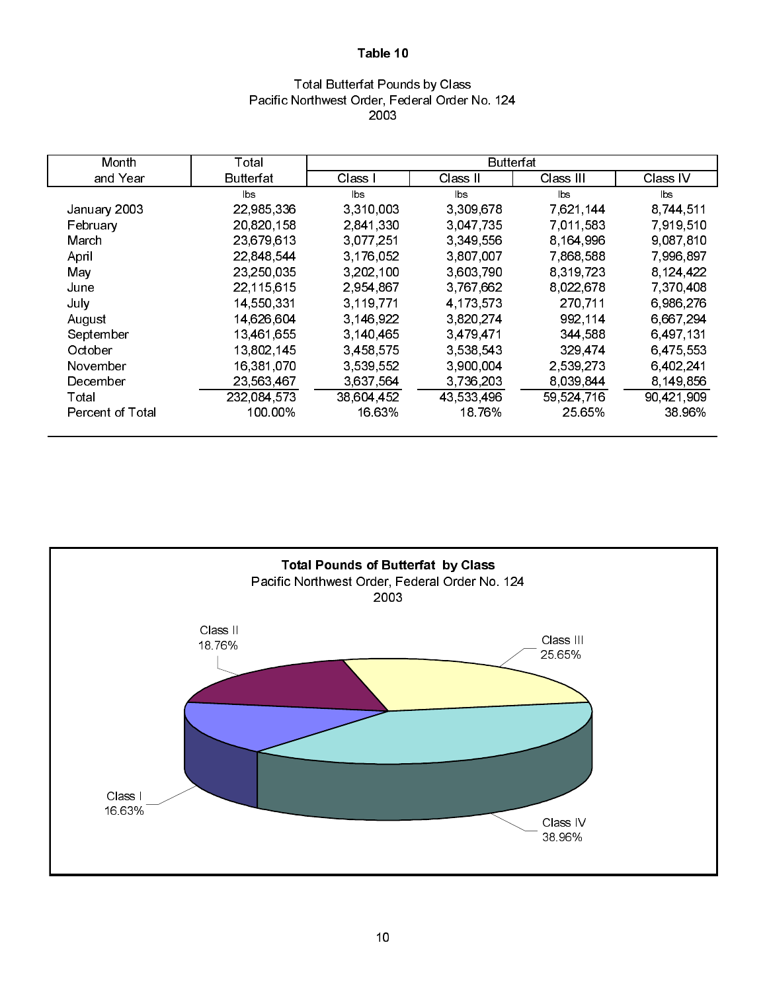## Total Butterfat Pounds by Class Pacific Northwest Order, Federal Order No. 124 2003

| Month            | Total       |            | <b>Butterfat</b> |                |                |
|------------------|-------------|------------|------------------|----------------|----------------|
| and Year         | Butterfat   | Class I    | Class II         | Class III      | Class IV       |
|                  | lbs.        | lbs        | b s              | $\mathsf{lbs}$ | $\mathsf{lbs}$ |
| January 2003     | 22,985,336  | 3,310,003  | 3 309 678        | 7,621,144      | 8,744,511      |
| February         | 20,820,158  | 2,841,330  | 3.047.735        | 7,011,583      | 7,919,510      |
| March            | 23,679,613  | 3,077,251  | 3,349,556        | 8, 164, 996    | 9 087 810      |
| April            | 22 848 544  | 3 176 052  | 3,807,007        | 7 868 588      | 7,996,897      |
| May              | 23,250,035  | 3,202,100  | 3,603,790        | 8,319,723      | 8.124.422      |
| June             | 22,115,615  | 2.954,867  | 3 767 662        | 8 0 2 2 6 7 8  | 7,370,408      |
| July             | 14,550,331  | 3,119,771  | 4.173.573        | 270,711        | 6,986,276      |
| August           | 14,626,604  | 3.146.922  | 3,820,274        | 992,114        | 6,667,294      |
| September        | 13,461,655  | 3,140,465  | 3,479,471        | 344,588        | 6,497,131      |
| October          | 13,802,145  | 3,458,575  | 3,538,543        | 329,474        | 6,475,553      |
| November         | 16,381,070  | 3 539 552  | 3,900,004        | 2,539,273      | 6,402,241      |
| December         | 23,563,467  | 3,637,564  | 3,736,203        | 8.039.844      | 8.149.856      |
| Total            | 232,084,573 | 38,604,452 | 43 533 496       | 59,524,716     | 90,421,909     |
| Percent of Total | 100.00%     | 16 63%     | 18.76%           | 25.65%         | 38 96%         |

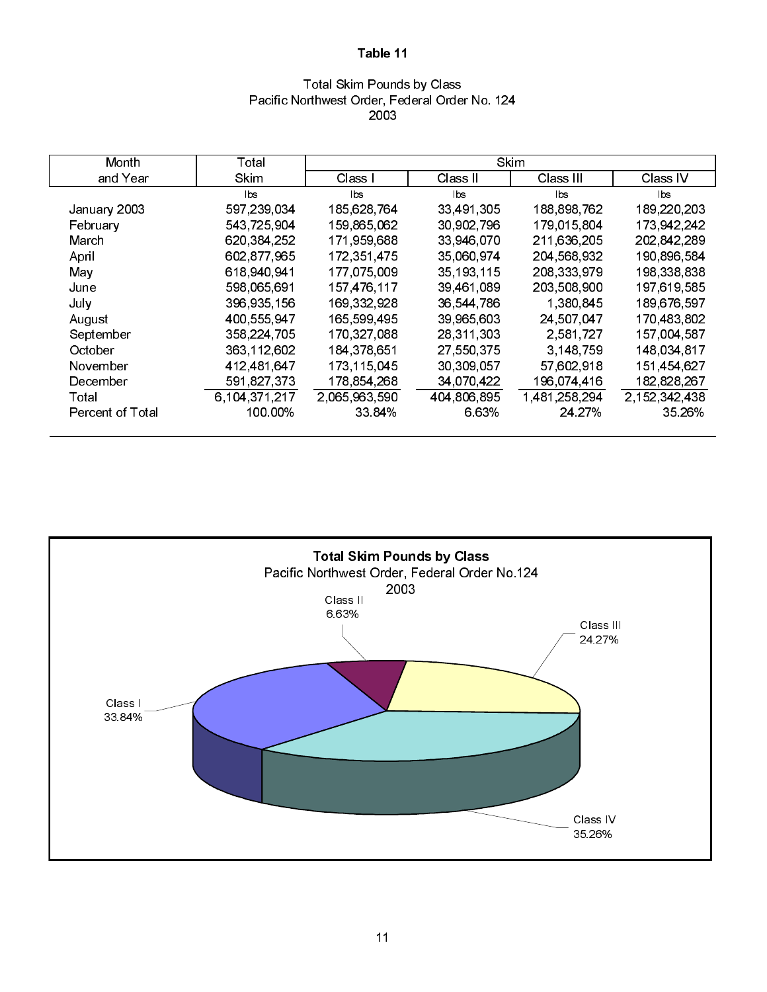### Total Skim Pounds by Class Pacific Northwest Order, Federal Order No. 124 2003

| Month            | Total         |               | Skim         |             |                  |
|------------------|---------------|---------------|--------------|-------------|------------------|
| and Year         | Skim          | Class I       | Class II     | Class III   | Class IV         |
|                  | lbs           | lbs.          | lbs          | bs          | lbs.             |
| January 2003     | 597,239,034   | 185,628,764   | 33,491,305   | 188,898,762 | 189,220,203      |
| February         | 543,725,904   | 159,865,062   | 30,902,796   | 179 015 804 | 173,942,242      |
| March            | 620,384,252   | 171,959,688   | 33,946,070   | 211,636,205 | 202 842 289      |
| April            | 602 877 965   | 172 351 475   | 35,060,974   | 204 568 932 | 190 896 584      |
| May              | 618 940 941   | 177,075,009   | 35, 193, 115 | 208 333 979 | 198,338,838      |
| June             | 598 065 691   | 157 476 117   | 39 461 089   | 203 508 900 | 197,619,585      |
| July             | 396 935 156   | 169,332,928   | 36,544,786   | 1,380,845   | 189,676,597      |
| August           | 400,555,947   | 165 599 495   | 39,965,603   | 24,507,047  | 170,483,802      |
| September        | 358,224,705   | 170,327,088   | 28,311,303   | 2,581,727   | 157,004,587      |
| October          | 363,112,602   | 184, 378, 651 | 27,550,375   | 3,148,759   | 148,034,817      |
| November         | 412,481,647   | 173,115,045   | 30,309,057   | 57,602,918  | 151,454,627      |
| December         | 591,827,373   | 178 854 268   | 34,070,422   | 196,074,416 | 182,828,267      |
| Total            | 6.104.371.217 | 2,065,963,590 | 404,806,895  | 1481258294  | 2, 152, 342, 438 |
| Percent of Total | 100 00%       | 33 84%        | 6.63%        | 24 27%      | 35 26%           |

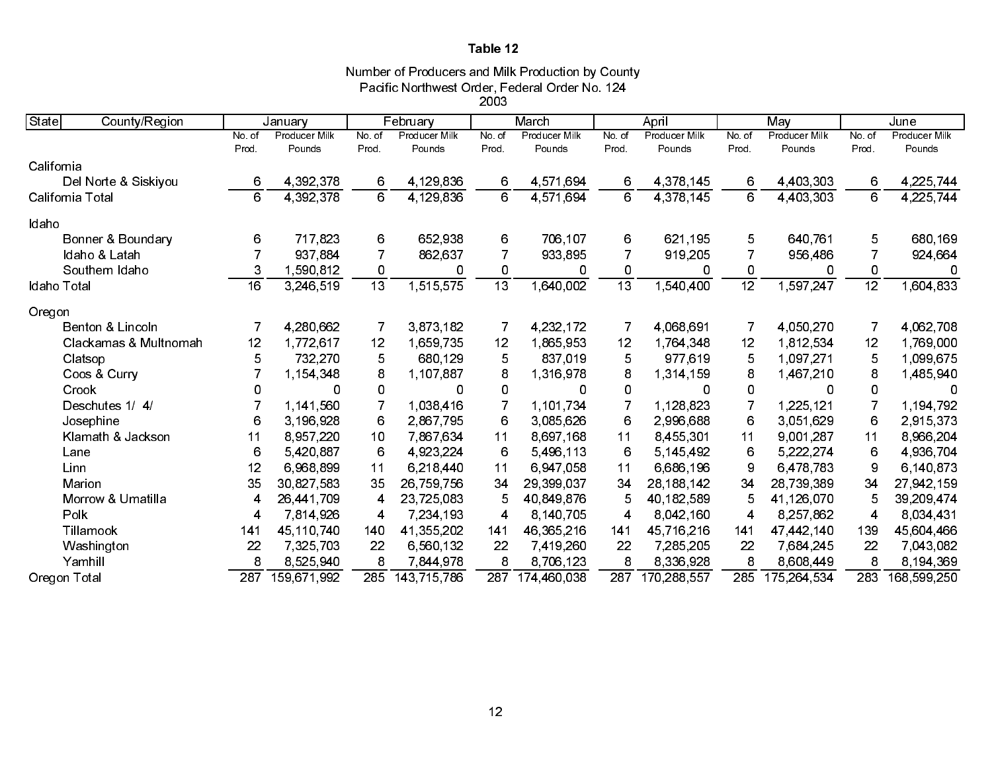Number of Producers and Milk Production by County Pacific Northwest Order, Federal Order No. 124

2003

| State<br>County/Region |                 | January              |                 | February             |                 | March                |                 | April                |                 | May           |                 | June                 |
|------------------------|-----------------|----------------------|-----------------|----------------------|-----------------|----------------------|-----------------|----------------------|-----------------|---------------|-----------------|----------------------|
|                        | No. of          | <b>Producer Milk</b> | No. of          | <b>Producer Milk</b> | No. of          | <b>Producer Milk</b> | No. of          | <b>Producer Milk</b> | No. of          | Producer Milk | No. of          | <b>Producer Milk</b> |
|                        | Prod.           | Pounds               | Prod.           | Pounds               | Prod.           | Pounds               | Prod.           | Pounds               | Prod.           | Pounds        | Prod.           | Pounds               |
| California             |                 |                      |                 |                      |                 |                      |                 |                      |                 |               |                 |                      |
| Del Norte & Siskiyou   | 6               | 4 392 378            | 6               | 4 129 836            | 6               | 4 571 694            | 6               | 4 378 145            | 6               | 4,403,303     | 6               | 4,225,744            |
| California Total       | 6               | 4,392,378            | 6               | 4,129,836            | 6               | 4,571,694            | 6               | 4,378,145            | 6               | 4,403,303     | 6               | 4,225,744            |
| Idaho                  |                 |                      |                 |                      |                 |                      |                 |                      |                 |               |                 |                      |
| Bonner & Boundary      | 6               | 717,823              | 6               | 652,938              | 6               | 706,107              | 6               | 621,195              | 5               | 640,761       | 5               | 680,169              |
| Idaho & Latah          |                 | 937 884              | $\overline{7}$  | 862,637              | $\overline{7}$  | 933,895              | 7               | 919,205              |                 | 956,486       | 7               | 924,664              |
| Southern Idaho         | 3               | 1,590,812            | 0               | 0                    | 0               | 0                    | 0               | 0                    | 0               | 0             | 0               | $\Omega$             |
| Idaho Total            | $\overline{16}$ | 3,246,519            | $\overline{13}$ | 1,515,575            | $\overline{13}$ | 1,640,002            | $\overline{13}$ | 1,540,400            | $\overline{12}$ | 1,597,247     | $\overline{12}$ | 1,604,833            |
| Oregon                 |                 |                      |                 |                      |                 |                      |                 |                      |                 |               |                 |                      |
| Benton & Lincoln       | 7               | 4,280,662            | 7               | 3,873,182            | 7               | 4 232 172            | 7               | 4,068,691            |                 | 4 050 270     |                 | 4 062 708            |
| Clackamas & Multnomah  | 12              | 1,772,617            | 12              | 1,659,735            | 12              | 1,865,953            | 12              | 1,764,348            | 12              | 1,812,534     | 12              | 1,769,000            |
| Clatsop                | 5               | 732,270              | 5               | 680 129              | 5               | 837,019              | 5               | 977,619              | 5               | 1.097.271     | 5               | 1,099,675            |
| Coos & Curry           | 7               | 1.154,348            | 8               | 1,107,887            | 8               | 1,316,978            | 8               | 1,314,159            | 8               | 1,467,210     | 8               | 1,485,940            |
| Crook                  | 0               | 0                    | 0               | 0                    | 0               | 0                    | 0               | 0                    | 0               | 0             | 0               | $\Omega$             |
| Deschutes 1/4/         |                 | 1,141,560            | $\overline{7}$  | 1,038,416            | $\overline{7}$  | 1.101.734            | $\overline{7}$  | 1,128,823            |                 | 1,225,121     | 7               | 1.194,792            |
| Josephine              | 6               | 3.196.928            | 6               | 2,867,795            | 6               | 3.085.626            | 6               | 2,996,688            | 6               | 3,051,629     | 6               | 2 9 1 5 3 7 3        |
| Klamath & Jackson      | 11              | 8 957 220            | 10              | 7 867 634            | 11              | 8,697,168            | 11              | 8,455,301            | 11              | 9,001,287     | 11              | 8,966,204            |
| Lane                   | 6               | 5 420 887            | 6               | 4.923,224            | 6               | 5,496,113            | 6               | 5 145 492            | 6               | 5,222,274     | 6               | 4 936 704            |
| Linn                   | 12              | 6,968,899            | 11              | 6.218.440            | 11              | 6 947 058            | 11              | 6,686,196            | 9               | 6 478 783     | 9               | 6,140,873            |
| Marion                 | 35              | 30,827,583           | 35              | 26,759,756           | 34              | 29,399,037           | 34              | 28, 188, 142         | 34              | 28,739,389    | 34              | 27,942,159           |
| Morrow & Umatilla      | 4               | 26,441,709           | 4               | 23,725,083           | 5               | 40 849 876           | 5               | 40, 182, 589         | 5               | 41,126,070    | 5               | 39,209,474           |
| Polk                   | 4               | 7 814 926            | 4               | 7.234.193            | 4               | 8 140 705            | 4               | 8,042,160            | 4               | 8.257.862     | 4               | 8.034.431            |
| Tillamook              | 141             | 45,110,740           | 140             | 41,355,202           | 141             | 46,365,216           | 141             | 45,716,216           | 141             | 47,442,140    | 139             | 45,604,466           |
| Washington             | 22              | 7,325,703            | 22              | 6,560,132            | 22              | 7,419,260            | 22              | 7,285,205            | 22              | 7,684,245     | 22              | 7,043,082            |
| Yamhill                | 8               | 8,525,940            | 8               | 7 844 978            | 8               | 8 706 123            | 8               | 8,336,928            | 8               | 8 608 449     | 8               | 8,194,369            |
| Oregon Total           | 287             | 159 671 992          | 285             | 143 715 786          | 287             | 174 460 038          | 287             | 170,288,557          | 285             | 175, 264, 534 | 283             | 168 599 250          |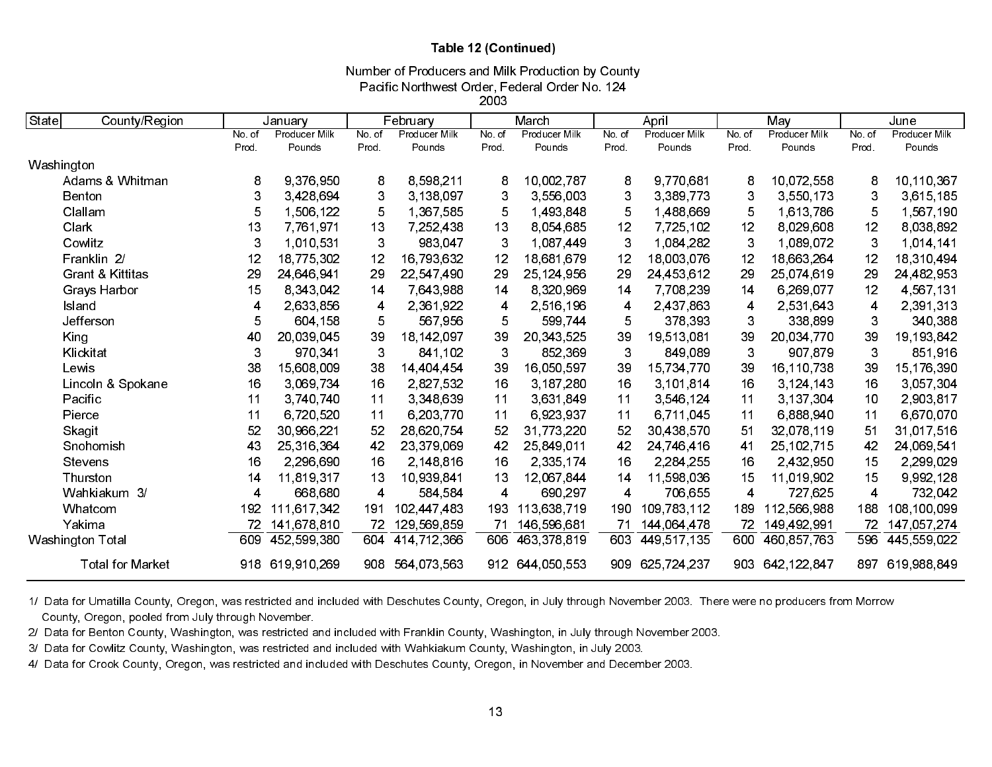### Table 12 (Continued)

Number of Producers and Milk Production by County

Pacific Northwest Order, Federal Order No. 124

2003

| State<br>County/Region      |        | January       |                         | February      |                         | March         |       | April           |        | May             |                | June          |
|-----------------------------|--------|---------------|-------------------------|---------------|-------------------------|---------------|-------|-----------------|--------|-----------------|----------------|---------------|
|                             | No. of | Producer Milk | No. of                  | Producer Milk | No. of                  | Producer Milk | No.of | Producer Milk   | No. of | Producer Milk   | No. of         | Producer Milk |
|                             | Prod.  | Pounds        | Prod.                   | Pounds        | Prod                    | Pounds        | Prod. | Pounds          | Prod.  | Pounds          | Prod.          | Pounds        |
| Washington                  |        |               |                         |               |                         |               |       |                 |        |                 |                |               |
| Adams & Whitman             | 8      | 9,376,950     | 8                       | 8,598,211     | 8                       | 10,002.787    | 8     | 9 770 681       | 8      | 10,072,558      | 8              | 10,110,367    |
| Benton                      | 3      | 3,428,694     | 3                       | 3 138 097     | 3                       | 3,556,003     | 3     | 3,389,773       | 3      | 3,550,173       | 3              | 3,615,185     |
| Clallam                     | 5      | 1,506,122     | 5                       | 1,367,585     | 5                       | 1,493,848     | 5     | 1,488,669       | 5      | 1,613,786       | 5              | 1,567,190     |
| Clark                       | 13     | 7,761,971     | 13                      | 7,252,438     | 13                      | 8,054,685     | 12    | 7,725,102       | 12     | 8.029.608       | 12             | 8,038,892     |
| Cowlitz                     | 3      | 1,010,531     | 3                       | 983.047       | 3                       | 1 087 449     | 3     | 1,084,282       | 3      | 1,089,072       | 3              | 1,014,141     |
| Franklin 2/                 | 12     | 18,775,302    | 12                      | 16,793,632    | 12                      | 18 681 679    | 12    | 18,003,076      | 12     | 18,663,264      | 12             | 18,310,494    |
| <b>Grant &amp; Kittitas</b> | 29     | 24,646,941    | 29                      | 22,547,490    | 29                      | 25,124,956    | 29    | 24,453,612      | 29     | 25,074,619      | 29             | 24,482,953    |
| Grays Harbor                | 15     | 8,343,042     | 14                      | 7,643,988     | 14                      | 8,320,969     | 14    | 7 708 239       | 14     | 6,269,077       | 12             | 4 567 131     |
| Island                      | 4      | 2,633,856     | $\overline{\mathbf{4}}$ | 2,361,922     | $\overline{4}$          | 2,516,196     | 4     | 2,437,863       | 4      | 2.531.643       | $\overline{4}$ | 2,391,313     |
| Jefferson                   | 5      | 604,158       | 5                       | 567,956       | $\overline{5}$          | 599 744       | 5     | 378,393         | 3      | 338,899         | 3              | 340,388       |
| King                        | 40     | 20.039.045    | 39                      | 18,142,097    | 39                      | 20, 343, 525  | 39    | 19,513,081      | 39     | 20,034,770      | 39             | 19, 193, 842  |
| Klickitat                   | 3      | 970 341       | 3                       | 841,102       | 3                       | 852,369       | 3     | 849,089         | 3      | 907.879         | 3              | 851,916       |
| Lewis                       | 38     | 15,608,009    | 38                      | 14 404 454    | 39                      | 16 050 597    | 39    | 15,734,770      | 39     | 16,110,738      | 39             | 15,176,390    |
| Lincoln & Spokane           | 16     | 3.069.734     | 16                      | 2 827 532     | 16                      | 3 187,280     | 16    | 3 101 814       | 16     | 3 124 143       | 16             | 3,057,304     |
| Pacific                     | 11     | 3 740 740     | 11                      | 3,348,639     | 11                      | 3,631,849     | 11    | 3,546,124       | 11     | 3 137 304       | 10             | 2,903,817     |
| Pierce                      | 11     | 6,720,520     | 11                      | 6,203,770     | 11                      | 6,923,937     | 11    | 6,711,045       | 11     | 6,888,940       | 11             | 6,670,070     |
| Skagit                      | 52     | 30,966,221    | 52                      | 28,620.754    | 52                      | 31 773 220    | 52    | 30,438,570      | 51     | 32,078,119      | 51             | 31,017,516    |
| Snohomish                   | 43     | 25,316,364    | 42                      | 23,379,069    | 42                      | 25,849,011    | 42    | 24,746,416      | 41     | 25, 102, 715    | 42             | 24,069,541    |
| Stevens                     | 16     | 2,296,690     | 16                      | 2,148,816     | 16                      | 2,335,174     | 16    | 2,284,255       | 16     | 2,432,950       | 15             | 2,299,029     |
| Thurston                    | 14     | 11,819,317    | 13                      | 10,939,841    | 13                      | 12,067,844    | 14    | 11,598,036      | 15     | 11,019,902      | 15             | 9,992,128     |
| Wahkiakum 3/                | 4      | 668,680       | $\overline{\mathbf{4}}$ | 584,584       | $\overline{\mathbf{4}}$ | 690,297       | 4     | 706,655         | 4      | 727,625         | $\overline{4}$ | 732,042       |
| Whatcom                     | 192    | 111,617,342   | 191                     | 102 447 483   | 193                     | 113,638,719   | 190   | 109 783 112     | 189    | 112,566,988     | 188            | 108 100 099   |
| Yakima                      | 72     | 141,678,810   | 72                      | 129,569,859   | 71                      | 146,596,681   | 71    | 144 064 478     | 72     | 149 492 991     | 72             | 147,057,274   |
| Washington Total            | 609    | 452,599,380   | 604                     | 414,712,366   | 606                     | 463 378 819   | 603   | 449,517,135     | 600    | 460,857,763     | 596            | 445 559 022   |
| <b>Total for Market</b>     | 918    | 619 910 269   | 908                     | 564,073,563   | 912                     | 644,050,553   |       | 909 625 724 237 |        | 903 642 122 847 | 897            | 619,988,849   |

1/ Data for Umatilla County, Oregon, was restricted and included with Deschutes County, Oregon, in July through November 2003. There were no producers from Morrow County, Oregon, pooled from July through November.

2/ Data for Benton County, Washington, was restricted and included with Franklin County, Washington, in July through November 2003.

3/ Data for Cowlitz County, Washington, was restricted and included with Wahkiakum County, Washington, in July 2003.

4/ Data for Crook County, Oregon, was restricted and included with Deschutes County, Oregon, in November and December 2003.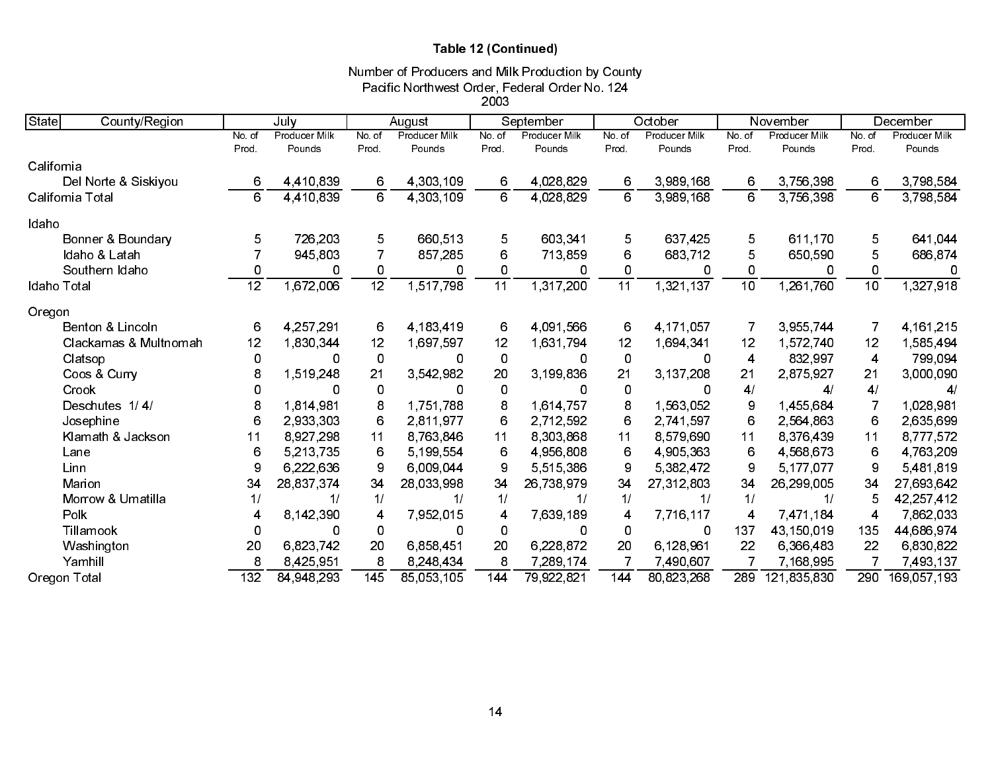# Table 12 (Continued)

# Number of Producers and Milk Production by County Pacific Northwest Order, Federal Order No. 124

|                        |                |               |                         |                      | 2003             |               |             |               |                 |               |                |               |
|------------------------|----------------|---------------|-------------------------|----------------------|------------------|---------------|-------------|---------------|-----------------|---------------|----------------|---------------|
| State<br>County/Region |                | July          |                         | August               |                  | September     |             | October       |                 | November      |                | December      |
|                        | No. of         | Producer Milk | No. of                  | <b>Producer Milk</b> | No. of           | Producer Milk | No. of      | Producer Milk | No of           | Producer Milk | No of          | Producer Milk |
|                        | Prod.          | Pounds        | Prod.                   | Pounds               | Prod.            | Pounds        | Prod.       | Pounds        | Prod.           | Pounds        | Prod.          | Pounds        |
| California             |                |               |                         |                      |                  |               |             |               |                 |               |                |               |
| Del Norte & Siskiyou   | 6              | 4,410,839     | 6                       | 4,303,109            | 6                | 4,028,829     | 6           | 3,989,168     | 6               | 3,756,398     | 6              | 3,798,584     |
| California Total       | 6              | 4 4 10 8 39   | 6                       | 4,303,109            | 6                | 4.028.829     | 6           | 3,989,168     | 6               | 3 756 398     | 6              | 3,798,584     |
| Idaho                  |                |               |                         |                      |                  |               |             |               |                 |               |                |               |
| Bonner & Boundary      | 5              | 726,203       | 5                       | 660.513              | 5                | 603,341       | 5           | 637 425       | 5               | 611,170       | 5              | 641,044       |
| Idaho & Latah          | $\overline{7}$ | 945,803       |                         | 857,285              | 6                | 713,859       | 6           | 683,712       | 5               | 650,590       | 5              | 686,874       |
| Southern Idaho         | 0              | 0             | 0                       | 0                    | $\mathbf 0$      | 0             | 0           | 0             | 0               | 0             | 0              | 0             |
| Idaho Total            | 12             | 1,672,006     | 12                      | 1,517,798            | 11               | 1,317,200     | 11          | 1,321,137     | $\overline{10}$ | 1.261.760     | 10             | 1,327,918     |
| Oregon                 |                |               |                         |                      |                  |               |             |               |                 |               |                |               |
| Benton & Lincoln       | 6              | 4 257 291     | 6                       | 4,183,419            | 6                | 4.091.566     | 6           | 4 171 057     | 7               | 3 955 744     | -7             | 4 161 215     |
| Clackamas & Multnomah  | 12             | 1,830,344     | 12                      | 1,697,597            | 12               | 1,631,794     | 12          | 1,694,341     | 12              | 1 572 740     | 12             | 1,585,494     |
| Clatsop                | 0              | 0             | $\mathbf 0$             | 0                    | $\overline{0}$   | 0             | $\mathbf 0$ | 0             | 4               | 832 997       | 4              | 799.094       |
| Coos & Curry           | 8              | 1,519,248     | 21                      | 3,542,982            | 20               | 3.199,836     | 21          | 3 137 208     | 21              | 2,875,927     | 21             | 3,000,090     |
| Crook                  | 0              | 0             | 0                       | 0                    | 0                | 0             | 0           | 0             | 4/              | 4/            | 4/             | 4/            |
| Deschutes 1/4/         | 8              | 1814.981      | 8                       | 1,751,788            | 8                | 1,614,757     | 8           | 1,563,052     | 9               | 1,455,684     | -7             | 1,028,981     |
| Josephine              | 6              | 2,933,303     | 6                       | 2811977              | 6                | 2,712,592     | 6           | 2.741.597     | 6               | 2,564,863     | 6              | 2,635,699     |
| Klamath & Jackson      | 11             | 8 9 27 298    | 11                      | 8,763,846            | 11               | 8,303,868     | 11          | 8 579 690     | 11              | 8 376 439     | 11             | 8,777,572     |
| Lane                   | 6              | 5,213,735     | 6                       | 5,199,554            | 6                | 4,956,808     | 6           | 4,905,363     | 6               | 4 568 673     | 6              | 4 763 209     |
| Linn                   | 9              | 6.222.636     | 9                       | 6,009.044            | $\boldsymbol{9}$ | 5,515,386     | 9           | 5 382 472     | 9               | 5 177 077     | 9              | 5,481,819     |
| Marion                 | 34             | 28,837,374    | 34                      | 28,033,998           | 34               | 26,738,979    | 34          | 27,312,803    | 34              | 26,299,005    | 34             | 27,693,642    |
| Morrow & Umatilla      | 1/             | 1/            | 1/                      | 1/                   | 1/               | $\frac{1}{2}$ | 1/          | $\frac{1}{2}$ | 1/              | 1/            | 5              | 42,257,412    |
| Polk                   | 4              | 8 142 390     | $\overline{\mathbf{4}}$ | 7,952,015            | $\overline{4}$   | 7,639,189     | 4           | 7,716,117     | 4               | 7 471,184     | $\overline{4}$ | 7,862,033     |
| Tillamook              | 0              | 0             | 0                       | 0                    | 0                | 0             | 0           | 0             | 137             | 43,150,019    | 135            | 44,686,974    |
| Washington             | 20             | 6,823,742     | 20                      | 6,858,451            | 20               | 6,228,872     | 20          | 6,128,961     | 22              | 6,366,483     | 22             | 6,830,822     |
| Yamhill                | 8              | 8,425,951     | 8                       | 8,248,434            | 8                | 7,289,174     | 7           | 7 490 607     |                 | 7,168,995     |                | 7,493,137     |
| Oregon Total           | 132            | 84,948,293    | 145                     | 85,053,105           | 144              | 79 922 821    | 144         | 80,823,268    | 289             | 121,835,830   | 290            | 169 057 193   |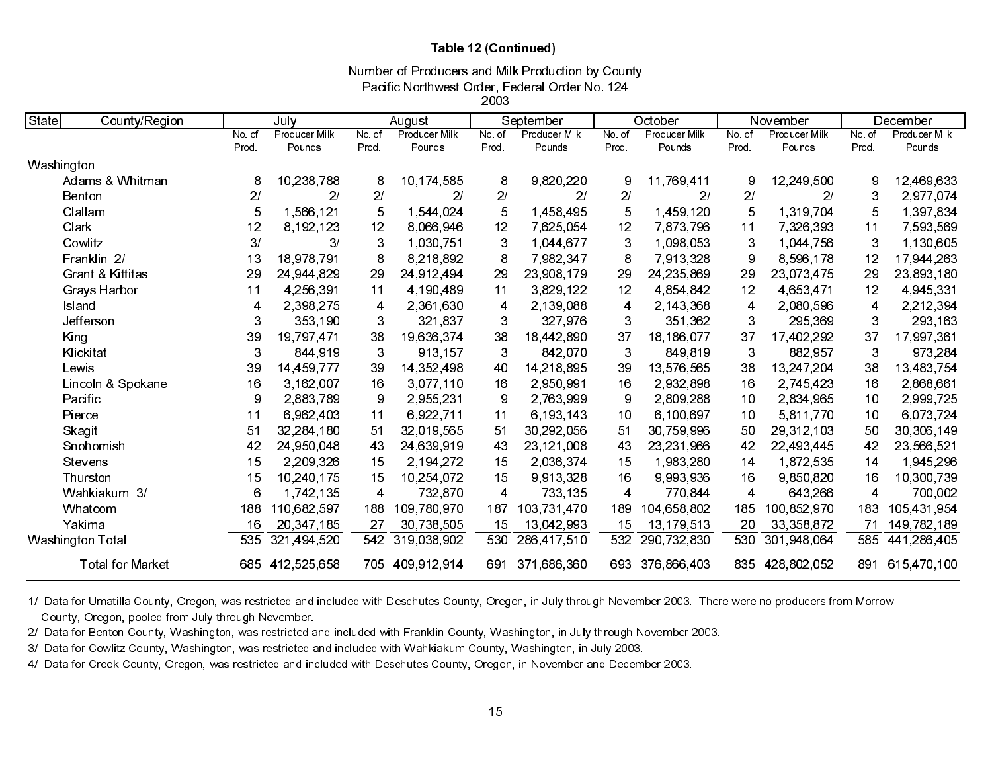### Table 12 (Continued)

Pacific Northwest Order, Federal Order No. 124 Number of Producers and Milk Production by County

2003

| State            | County/Region               |        | July           |       | August        |        | September      |                | October       |              | November      | December |               |
|------------------|-----------------------------|--------|----------------|-------|---------------|--------|----------------|----------------|---------------|--------------|---------------|----------|---------------|
|                  |                             | No. of | Producer Milk  | No of | Producer Milk | No. of | Producer Milk  | No of          | Producer Milk | No.of        | Producer Milk | No of    | Producer Milk |
|                  |                             | Prod   | Pounds         | Prod  | Pounds        | Prod.  | Pounds         | Prod.          | Pounds        | Prod.        | Pounds        | Prod     | Pounds        |
| Washington       |                             |        |                |       |               |        |                |                |               |              |               |          |               |
|                  | Adams & Whitman             | 8      | 10,238,788     | 8     | 10,174,585    | 8      | 9,820,220      | 9              | 11,769,411    | 9            | 12,249,500    | 9        | 12,469,633    |
| <b>Benton</b>    |                             | 2/     | 2 <sup>1</sup> | 2/    | 21            | 2/     | 2 <sub>l</sub> | 2 <sup>1</sup> | $\mathbf{2}/$ | 2/           | 21            | 3        | 2,977,074     |
| Clallam          |                             | 5      | 1 566 121      | 5     | 1,544,024     | 5      | 1 458 495      | 5              | 1,459,120     | 5            | 1,319,704     | 5        | 1,397,834     |
| Clark            |                             | 12     | 8.192.123      | 12    | 8,066,946     | 12     | 7,625,054      | 12             | 7873796       | 11           | 7,326,393     | 11       | 7,593,569     |
| Cowlitz          |                             | 3/     | 3/             | 3     | 1,030,751     | 3      | 1,044,677      | 3              | 1,098,053     | 3            | 1,044,756     | 3        | 1,130,605     |
|                  | Franklin 2/                 | 13     | 18 978 791     | 8     | 8.218.892     | 8      | 7 982 347      | 8              | 7.913,328     | 9            | 8,596,178     | 12       | 17,944,263    |
|                  | <b>Grant &amp; Kittitas</b> | 29     | 24.944.829     | 29    | 24,912,494    | 29     | 23,908,179     | 29             | 24.235.869    | 29           | 23,073,475    | 29       | 23,893,180    |
|                  | Grays Harbor                | 11     | 4,256,391      | 11    | 4 190 489     | 11     | 3,829,122      | 12             | 4,854,842     | 12           | 4 653 471     | 12       | 4 945 331     |
| Island           |                             | 4      | 2,398,275      | 4     | 2,361,630     | 4      | 2,139,088      | 4              | 2.143,368     | 4            | 2,080,596     | 4        | 2,212,394     |
| Jefferson        |                             | 3      | 353,190        | 3     | 321 837       | 3      | 327,976        | 3              | 351,362       | 3            | 295,369       | 3        | 293 163       |
| King             |                             | 39     | 19,797,471     | 38    | 19,636,374    | 38     | 18,442,890     | 37             | 18,186,077    | 37           | 17,402,292    | 37       | 17 997 361    |
| Klickitat        |                             | 3      | 844 919        | 3     | 913, 157      | 3      | 842,070        | $\mathbf{3}$   | 849,819       | $\mathbf{3}$ | 882,957       | 3        | 973,284       |
| Lewis            |                             | 39     | 14 459 777     | 39    | 14 352 498    | 40     | 14,218,895     | 39             | 13,576,565    | 38           | 13,247,204    | 38       | 13 483 754    |
|                  | Lincoln & Spokane           | 16     | 3 162 007      | 16    | 3.077.110     | 16     | 2 950 991      | 16             | 2.932,898     | 16           | 2,745,423     | 16       | 2,868,661     |
| Pacific          |                             | 9      | 2,883,789      | 9     | 2,955,231     | 9      | 2,763,999      | 9              | 2,809,288     | 10           | 2,834,965     | 10       | 2,999,725     |
| Pierce           |                             | 11     | 6 962 403      | 11    | 6,922,711     | 11     | 6,193,143      | 10             | 6,100,697     | 10           | 5,811,770     | 10       | 6,073,724     |
| Skagit           |                             | 51     | 32.284.180     | 51    | 32.019.565    | 51     | 30.292.056     | 51             | 30.759.996    | 50           | 29,312,103    | 50       | 30,306,149    |
|                  | Snohomish                   | 42     | 24,950,048     | 43    | 24,639,919    | 43     | 23,121,008     | 43             | 23,231,966    | 42           | 22,493,445    | 42       | 23,566,521    |
| Stevens          |                             | 15     | 2,209,326      | 15    | 2.194.272     | 15     | 2.036.374      | 15             | 1,983,280     | 14           | 1,872,535     | 14       | 1,945,296     |
| Thurston         |                             | 15     | 10,240,175     | 15    | 10.254.072    | 15     | 9.913,328      | 16             | 9,993,936     | 16           | 9,850,820     | 16       | 10,300,739    |
|                  | Wahkiakum 3/                | 6      | 1,742,135      | 4     | 732,870       | 4      | 733,135        | 4              | 770,844       | 4            | 643,266       | 4        | 700,002       |
| Whatcom          |                             | 188    | 110,682,597    | 188   | 109 780 970   | 187    | 103 731 470    | 189            | 104 658 802   | 185          | 100 852 970   | 183      | 105 431 954   |
| Yakima           |                             | 16     | 20, 347, 185   | 27    | 30,738,505    | 15     | 13,042,993     | 15             | 13, 179, 513  | 20           | 33, 358, 872  | 71       | 149,782,189   |
| Washington Total |                             | 535    | 321 494 520    | 542   | 319,038,902   | 530    | 286 417 510    | 532            | 290 732 830   | 530          | 301,948,064   | 585      | 441,286,405   |
|                  | <b>Total for Market</b>     | 685    | 412,525,658    | 705   | 409 912 914   | 691    | 371,686,360    | 693            | 376 866 403   | 835          | 428,802,052   | 891      | 615,470,100   |

1/ Data for Umatilla County, Oregon, was restricted and included with Deschutes County, Oregon, in July through November 2003. There were no producers from Morrow County, Oregon, pooled from July through November.

2/ Data for Benton County, Washington, was restricted and included with Franklin County, Washington, in July through November 2003.

3/ Data for Cowlitz County, Washington, was restricted and included with Wahkiakum County, Washington, in July 2003.

4/ Data for Crook County, Oregon, was restricted and included with Deschutes County, Oregon, in November and December 2003.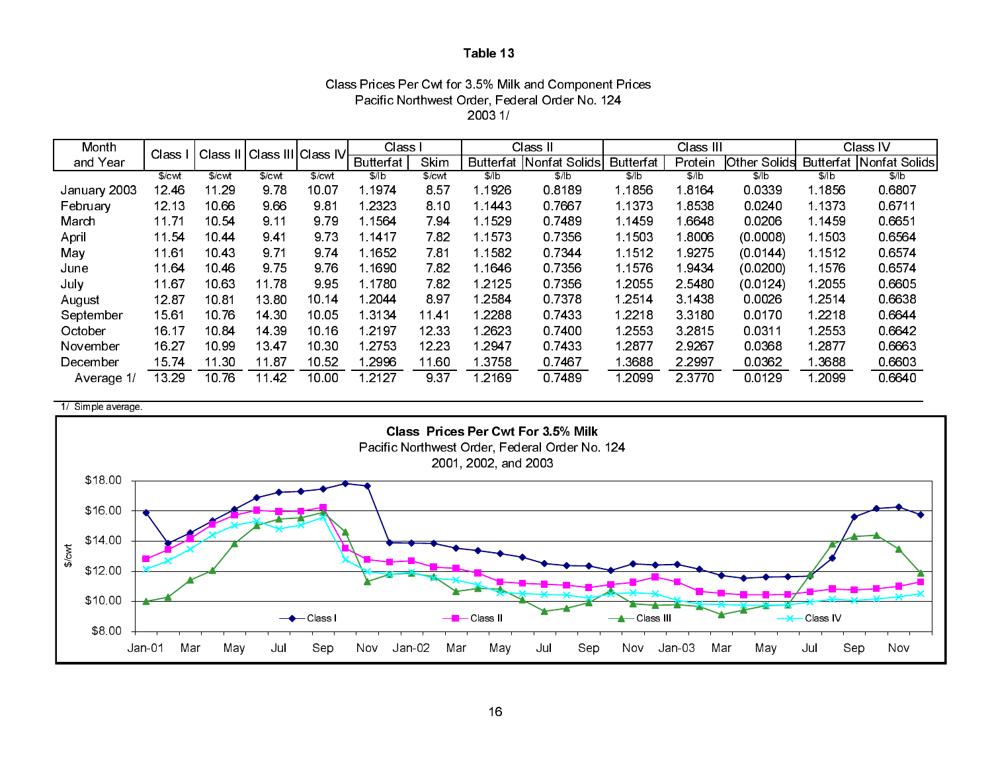| Class Prices Per Cwt for 3.5% Milk and Component Prices |
|---------------------------------------------------------|
| Pacific Northwest Order, Federal Order No. 124          |
| 20031/                                                  |

| Month        | Class  | Class <sup>II</sup> |        | Class III Class IV <b>⊦</b> | Class I          |        |           | Class II                          |                  | Class III |                     |                  | Class IV        |
|--------------|--------|---------------------|--------|-----------------------------|------------------|--------|-----------|-----------------------------------|------------------|-----------|---------------------|------------------|-----------------|
| and Year     |        |                     |        |                             | <b>Butterfat</b> | Skim   |           | <b>Butterfat   Nonfat Solids </b> | <b>Butterfat</b> | Protein   | <b>Other Solids</b> | <b>Butterfat</b> | ∴ Nonfat Solids |
|              | \$/cwl | \$/cwl              | \$/cwt | \$/cwt                      | \$/ b            | \$/cwl | \$/lb     | \$/ b                             | \$/ b            | \$/lb     | \$/lb               | \$/ b            | \$/lb           |
| January 2003 | 12 46  | 11.29               | 9.78   | 10.07                       | 1.1974           | 857    | 1 1926    | 0.8189                            | 1.1856           | 1 8164    | 0.0339              | 1.1856           | 0 6807          |
| February     | 12 13  | 10 66               | 9.66   | 981                         | 1.2323           | 8.10   | 1 1443    | 0 7667                            | 1.1373           | 18538     | 0.0240              | 1 1 3 7 3        | 06711           |
| March        | 11.71  | 10 54               | 9 11   | 9.79                        | 1.1564           | 7.94   | 1.1529    | 0.7489                            | 1 1459           | 1 6648    | 0.0206              | 1 1 4 5 9        | 0 6 6 5 1       |
| April        | 11 54  | 1044                | 941    | 9.73                        | 1.1417           | 782    | 1 1 5 7 3 | 0.7356                            | 1.1503           | 1 8006    | (0.0008)            | 1.1503           | 0 6 5 6 4       |
| May          | 11.61  | 10 43               | 9 7 1  | 9.74                        | 1 1 6 5 2        | 7.81   | 1 1 5 8 2 | 0.7344                            | 1.1512           | 19275     | (0.0144)            | 1 1512           | 0.6574          |
| June         | 11.64  | 1046                | 9.75   | 976                         | 1 1690           | 782    | 1.1646    | 0.7356                            | 1 1576           | 19434     | (0.0200)            | 1.1576           | 0.6574          |
| July         | 11.67  | 10.63               | 11 78  | 995                         | 1 1 7 8 0        | 782    | 1 2125    | 0.7356                            | 1.2055           | 2 5 4 8 0 | (0.0124)            | 1.2055           | 0.6605          |
| August       | 12.87  | 10.81               | 13.80  | 10.14                       | 1.2044           | 897    | 1.2584    | 0.7378                            | 1.2514           | 3 1438    | 0.0026              | 1.2514           | 0.6638          |
| September    | 15.61  | 10.76               | 14 30  | 10.05                       | 1.3134           | 1141   | 1 2 2 8 8 | 0.7433                            | 1.2218           | 3 3 1 8 0 | 0.0170              | 1.2218           | 0.6644          |
| October      | 16 17  | 10.84               | 14 39  | 10 16                       | 1 2 1 9 7        | 12 33  | 1 26 23   | 0.7400                            | 1 2553           | 3.2815    | 0.0311              | 1.2553           | 0.6642          |
| November     | 16.27  | 10 99               | 13 47  | 10 30                       | 1.2753           | 12.23  | 2947 ا    | 0.7433                            | 1 2877           | 29267     | 0.0368              | 1 2877           | 0.6663          |
| December     | 15.74  | 11 30               | 11 87  | 10 52                       | 1.2996           | 11.60  | 13758     | 0.7467                            | 1.3688           | 2 2 9 9 7 | 0.0362              | 1.3688           | 0.6603          |
| Average 1/   | 13 29  | 1076                | 11 42  | 10.00                       | 1 2 1 2 7        | 937    | l 2169    | 0 7489                            | l 2099           | 2 3 7 7 0 | 0.0129              | 1 2099           | 0.6640          |

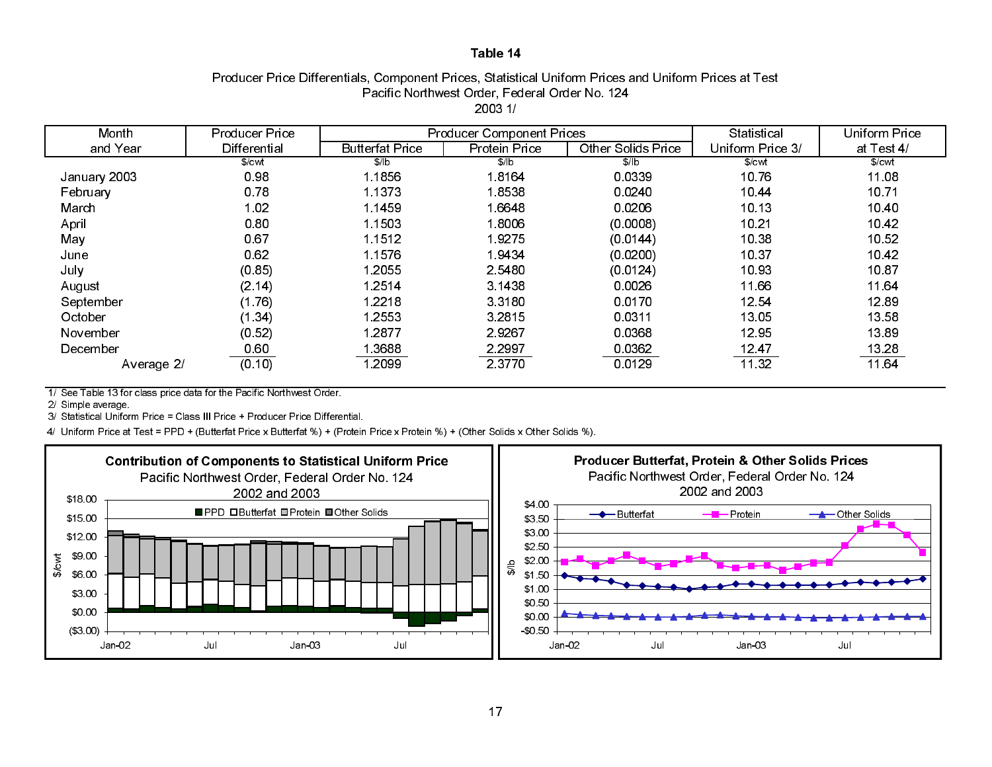### Producer Price Differentials, Component Prices, Statistical Uniform Prices and Uniform Prices at Test Pacific Northwest Order, Federal Order No. 124 2003 1/

| Month        | <b>Producer Price</b> |                        | <b>Producer Component Prices</b> |                           | Statistical       | <b>Uniform Price</b> |
|--------------|-----------------------|------------------------|----------------------------------|---------------------------|-------------------|----------------------|
| and Year     | Differential          | <b>Butterfat Price</b> | <b>Protein Price</b>             | <b>Other Solids Price</b> | Uniform Price 3/  | at Test 4/           |
|              | $%$ cwl               | \$/lb                  | $\frac{1}{2}$                    | \$/ b                     | \$/ <sub>cv</sub> | \$/ <sub>cm</sub>    |
| January 2003 | 0.98                  | 1 1856                 | 18164                            | 0.0339                    | 10.76             | 11.08                |
| February     | 0.78                  | 1.1373                 | 18538                            | 0.0240                    | 10.44             | 10.71                |
| March        | 1.02                  | 1 1459                 | 1 6648                           | 0.0206                    | 10 13             | 1040                 |
| April        | 0.80                  | 1.1503                 | 18006                            | (0.0008)                  | 10.21             | 1042                 |
| May          | 0.67                  | 1.1512                 | 19275                            | (0.0144)                  | 10.38             | 10 52                |
| June         | 0.62                  | 1 1576                 | 1.9434                           | (0.0200)                  | 10 37             | 1042                 |
| July         | (0.85)                | 1 2055                 | 2 5 4 8 0                        | (0.0124)                  | 10 93             | 1087                 |
| August       | (2.14)                | 1 2514                 | 3 1438                           | 0.0026                    | 11.66             | 11.64                |
| September    | (1.76)                | 1.2218                 | 3.3180                           | 0.0170                    | 12.54             | 1289                 |
| October      | (1.34)                | 1 2553                 | 3.2815                           | 0.0311                    | 13.05             | 13 58                |
| November     | (0.52)                | 1.2877                 | 29267                            | 0.0368                    | 12.95             | 1389                 |
| December     | 0.60                  | 1.3688                 | 2 2 9 9 7                        | 0.0362                    | 12 47             | 13.28                |
| Average 2/   | (0.10)                | 1 2099                 | 2 3 7 7 0                        | 0 0 1 2 9                 | 11 32             | 11 64                |

1/ See Table 13 for class price data for the Pacific Northwest Order.

2/ Simple average.

3/ Statistical Uniform Price = Class III Price + Producer Price Differential.

4/ Uniform Price at Test = PPD + (Butterfat Price x Butterfat %) + (Protein Price x Protein %) + (Other Solids x Other Solids %).



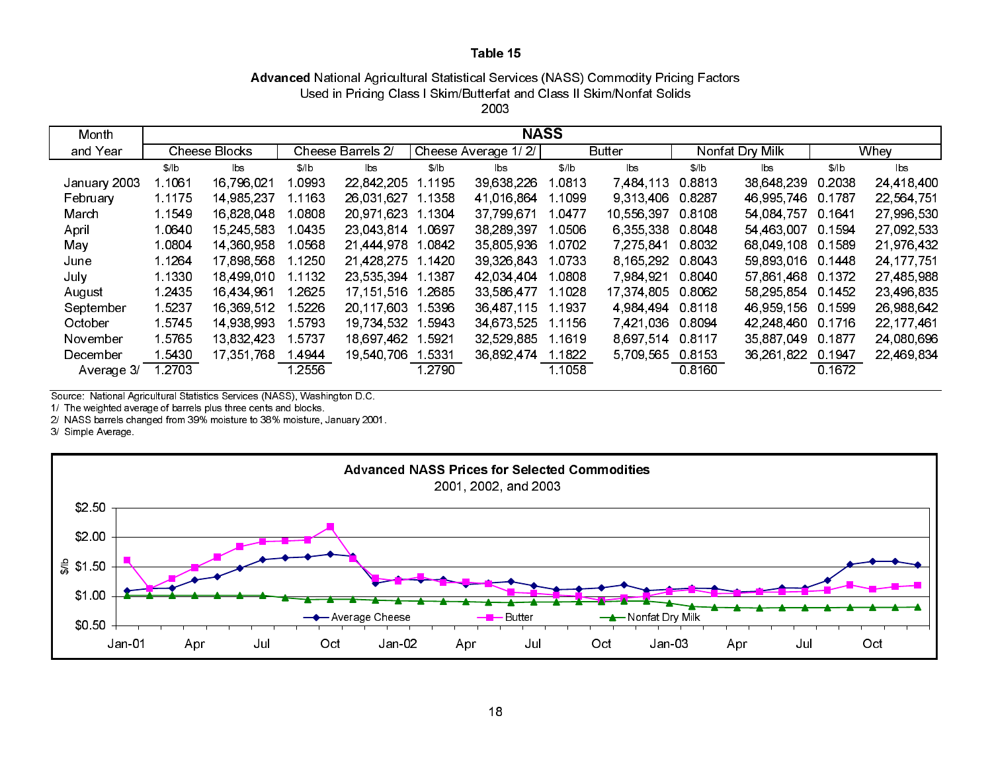# Advanced National Agricultural Statistical Services (NASS) Commodity Pricing Factors Used in Pricing Class I Skim/Butterfat and Class II Skim/Nonfat Solids

2003

| Month        | <b>NASS</b> |                      |           |                   |           |                        |        |                        |                 |                |        |              |
|--------------|-------------|----------------------|-----------|-------------------|-----------|------------------------|--------|------------------------|-----------------|----------------|--------|--------------|
| and Year     |             | <b>Cheese Blocks</b> |           | Cheese Barrels 2/ |           | Cheese Average 1/2/    |        | <b>Butter</b>          | Nonfat Dry Milk |                |        | Whey         |
|              | \$/ b       | lbs                  | \$/ b     | lbs               | \$/ b     | $\mathsf{b}\mathsf{s}$ | \$/ b  | $\mathsf{b}\mathsf{s}$ | \$/ b           | $\mathsf{lbs}$ | \$/ b  | lbs          |
| January 2003 | 1 1061      | 16.796.021           | 0993      | 22.842.205        | 1 1 1 9 5 | 39.638.226             | .0813  | 7,484,113              | 0.8813          | 38,648,239     | 0.2038 | 24,418,400   |
| February     | 1 1 1 7 5   | 14 985 237           | 1 1 1 6 3 | 26,031,627        | 1.1358    | 41 016 864             | 1.1099 | 9 313 406              | 0.8287          | 46,995,746     | 0 1787 | 22,564.751   |
| March        | 1 1549      | 16,828,048           | .0808     | 20.971.623        | 1.1304    | 37,799,671             | 0477   | 10 556 397             | 0.8108          | 54,084,757     | 0.1641 | 27,996,530   |
| April        | 1.0640      | 15.245.583           | 0435      | 23 043 814        | 1.0697    | 38,289,397             | .0506  | 6 355 338              | 0.8048          | 54 463 007     | 0.1594 | 27,092,533   |
| May          | 1.0804      | 14,360,958           | 1.0568    | 21 444 978        | 1.0842    | 35 805 936             | 1 0702 | 7.275.841              | 0.8032          | 68 049 108     | 0.1589 | 21,976,432   |
| June         | 1 1 2 6 4   | 17,898,568           | 1 1250    | 21 428 275        | 1.1420    | 39,326,843             | 10733  | 8 165 292              | 0.8043          | 59,893,016     | 0.1448 | 24, 177, 751 |
| July         | 1.1330      | 18 499 010           | 1 1 1 3 2 | 23 535 394        | 1.1387    | 42 034 404             | 1.0808 | 7 984 921              | 0.8040          | 57,861,468     | 0.1372 | 27,485,988   |
| August       | 1 2435      | 16 434 961           | 2625      | 17.151.516        | 1.2685    | 33,586,477             | 1.1028 | 17,374,805             | 0.8062          | 58,295,854     | 0.1452 | 23,496,835   |
| September    | 1 5237      | 16,369,512           | 1 5226    | 20,117,603        | 1.5396    | 36,487,115             | 1.1937 | 4 984 494              | 0.8118          | 46,959,156     | 0.1599 | 26,988,642   |
| October      | 1 5745      | 14 938 993           | 1 5793    | 19.734.532        | 5943      | 34 673 525             | 1.1156 | 7,421,036              | 0.8094          | 42 248 460     | 0.1716 | 22, 177, 461 |
| November     | 1 5765      | 13.832.423           | 1 5737    | 18,697,462        | .5921     | 32 529 885             | 1.1619 | 8 697 514              | 0.8117          | 35,887,049     | 0.1877 | 24,080,696   |
| December     | 5430        | 17,351,768           | 14944     | 19 540 706        | 5331 ا    | 36.892.474             | 1.1822 | 5 709 565              | 08153           | 36,261,822     | 0.1947 | 22,469,834   |
| Average 3/   | .2703       |                      | 2556      |                   | 1.2790    |                        | 1 1058 |                        | 08160           |                | 0.1672 |              |

Source: National Agricultural Statistics Services (NASS), Washington D.C.

1/ The weighted average of barrels plus three cents and blocks.

2/ NASS barrels changed from 39% moisture to 38% moisture, January 2001.

3/ Simple Average.